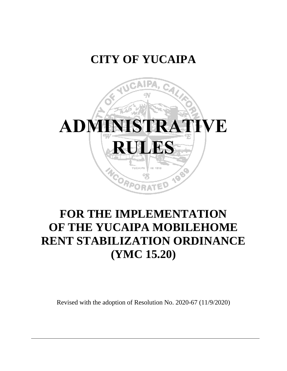## **CITY OF YUCAIPA**



# **FOR THE IMPLEMENTATION OF THE YUCAIPA MOBILEHOME RENT STABILIZATION ORDINANCE (YMC 15.20)**

Revised with the adoption of Resolution No. 2020-67 (11/9/2020)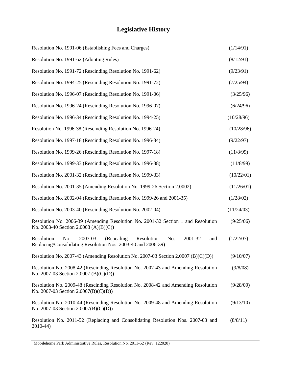## **Legislative History**

| Resolution No. 1991-06 (Establishing Fees and Charges)                                                                                             | (1/14/91)  |
|----------------------------------------------------------------------------------------------------------------------------------------------------|------------|
| Resolution No. 1991-62 (Adopting Rules)                                                                                                            | (8/12/91)  |
| Resolution No. 1991-72 (Rescinding Resolution No. 1991-62)                                                                                         | (9/23/91)  |
| Resolution No. 1994-25 (Rescinding Resolution No. 1991-72)                                                                                         | (7/25/94)  |
| Resolution No. 1996-07 (Rescinding Resolution No. 1991-06)                                                                                         | (3/25/96)  |
| Resolution No. 1996-24 (Rescinding Resolution No. 1996-07)                                                                                         | (6/24/96)  |
| Resolution No. 1996-34 (Rescinding Resolution No. 1994-25)                                                                                         | (10/28/96) |
| Resolution No. 1996-38 (Rescinding Resolution No. 1996-24)                                                                                         | (10/28/96) |
| Resolution No. 1997-18 (Rescinding Resolution No. 1996-34)                                                                                         | (9/22/97)  |
| Resolution No. 1999-26 (Rescinding Resolution No. 1997-18)                                                                                         | (11/8/99)  |
| Resolution No. 1999-33 (Rescinding Resolution No. 1996-38)                                                                                         | (11/8/99)  |
| Resolution No. 2001-32 (Rescinding Resolution No. 1999-33)                                                                                         | (10/22/01) |
| Resolution No. 2001-35 (Amending Resolution No. 1999-26 Section 2.0002)                                                                            | (11/26/01) |
| Resolution No. 2002-04 (Rescinding Resolution No. 1999-26 and 2001-35)                                                                             | (1/28/02)  |
| Resolution No. 2003-40 (Rescinding Resolution No. 2002-04)                                                                                         | (11/24/03) |
| Resolution No. 2006-39 (Amending Resolution No. 2001-32 Section 1 and Resolution<br>No. 2003-40 Section 2.0008 (A)(B)(C))                          | (9/25/06)  |
| Resolution<br>No.<br>2007-03<br>Resolution<br>2001-32<br>(Repealing)<br>No.<br>and<br>Replacing/Consolidating Resolution Nos. 2003-40 and 2006-39) | (1/22/07)  |
| Resolution No. 2007-43 (Amending Resolution No. 2007-03 Section 2.0007 (B)(C)(D))                                                                  | (9/10/07)  |
| Resolution No. 2008-42 (Rescinding Resolution No. 2007-43 and Amending Resolution<br>No. 2007-03 Section 2.0007 (B)(C)(D))                         | (9/8/08)   |
| Resolution No. 2009-48 (Rescinding Resolution No. 2008-42 and Amending Resolution<br>No. 2007-03 Section $2.0007(B)(C)(D)$                         | (9/28/09)  |
| Resolution No. 2010-44 (Rescinding Resolution No. 2009-48 and Amending Resolution<br>No. 2007-03 Section $2.0007(B)(C)(D)$                         | (9/13/10)  |
| Resolution No. 2011-52 (Replacing and Consolidating Resolution Nos. 2007-03 and<br>2010-44)                                                        | (8/8/11)   |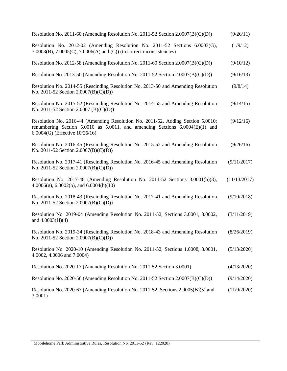| Resolution No. 2011-60 (Amending Resolution No. 2011-52 Section 2.0007(B)(C)(D))                                                                                                                     | (9/26/11)    |
|------------------------------------------------------------------------------------------------------------------------------------------------------------------------------------------------------|--------------|
| Resolution No. 2012-02 (Amending Resolution No. 2011-52 Sections 6.0003(G),<br>7.0003(B), 7.0005(C), 7.0006(A) and (C)) (to correct inconsistencies)                                                 | (1/9/12)     |
| Resolution No. 2012-58 (Amending Resolution No. 2011-60 Section 2.0007(B)(C)(D))                                                                                                                     | (9/10/12)    |
| Resolution No. 2013-50 (Amending Resolution No. 2011-52 Section 2.0007(B)(C)(D))                                                                                                                     | (9/16/13)    |
| Resolution No. 2014-55 (Rescinding Resolution No. 2013-50 and Amending Resolution<br>No. 2011-52 Section $2.0007(B)(C)(D)$                                                                           | (9/8/14)     |
| Resolution No. 2015-52 (Rescinding Resolution No. 2014-55 and Amending Resolution<br>No. 2011-52 Section 2.0007 (B)(C)(D))                                                                           | (9/14/15)    |
| Resolution No. 2016-44 (Amending Resolution No. 2011-52, Adding Section 5.0010;<br>renumbering Section 5.0010 as 5.0011, and amending Sections 6.0004(E)(1) and<br>6.0004(G) (Effective $10/26/16$ ) | (9/12/16)    |
| Resolution No. 2016-45 (Rescinding Resolution No. 2015-52 and Amending Resolution<br>No. 2011-52 Section 2.0007(B)(C)(D))                                                                            | (9/26/16)    |
| Resolution No. 2017-41 (Rescinding Resolution No. 2016-45 and Amending Resolution<br>No. 2011-52 Section 2.0007(B)(C)(D))                                                                            | (9/11/2017)  |
| Resolution No. 2017-48 (Amending Resolution No. 2011-52 Sections 3.0001(b)(3),<br>$4.0006(g)$ , 6.0002(b), and 6.0004(b)(10)                                                                         | (11/13/2017) |
| Resolution No. 2018-43 (Rescinding Resolution No. 2017-41 and Amending Resolution<br>No. 2011-52 Section $2.0007(B)(C)(D)$                                                                           | (9/10/2018)  |
| Resolution No. 2019-04 (Amending Resolution No. 2011-52, Sections 3.0001, 3.0002,<br>and $4.0003(H)(4)$                                                                                              | (3/11/2019)  |
| Resolution No. 2019-34 (Rescinding Resolution No. 2018-43 and Amending Resolution<br>No. 2011-52 Section $2.0007(B)(C)(D)$                                                                           | (8/26/2019)  |
| Resolution No. 2020-10 (Amending Resolution No. 2011-52, Sections 1.0008, 3.0001,<br>4.0002, 4.0006 and 7.0004)                                                                                      | (5/13/2020)  |
| Resolution No. 2020-17 (Amending Resolution No. 2011-52 Section 3.0001)                                                                                                                              | (4/13/2020)  |
| Resolution No. 2020-56 (Amending Resolution No. 2011-52 Section 2.0007(B)(C)(D))                                                                                                                     | (9/14/2020)  |
| Resolution No. 2020-67 (Amending Resolution No. 2011-52, Sections 2.0005(B)(5) and<br>3.0001)                                                                                                        | (11/9/2020)  |
|                                                                                                                                                                                                      |              |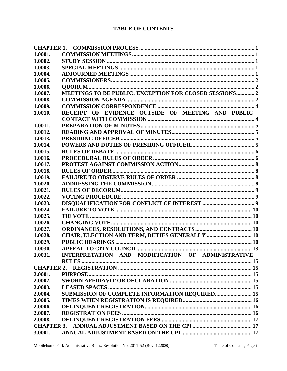#### **TABLE OF CONTENTS**

| 1.0001.           |                                                        |  |
|-------------------|--------------------------------------------------------|--|
| 1.0002.           |                                                        |  |
| 1.0003.           |                                                        |  |
| 1.0004.           |                                                        |  |
| 1.0005.           |                                                        |  |
| 1.0006.           |                                                        |  |
| 1.0007.           | MEETINGS TO BE PUBLIC: EXCEPTION FOR CLOSED SESSIONS 2 |  |
| 1.0008.           |                                                        |  |
| 1.0009.           |                                                        |  |
| 1.0010.           | RECEIPT OF EVIDENCE OUTSIDE OF MEETING AND PUBLIC      |  |
|                   |                                                        |  |
| 1.0011.           |                                                        |  |
| 1.0012.           |                                                        |  |
| 1.0013.           |                                                        |  |
| 1.0014.           |                                                        |  |
| 1.0015.           |                                                        |  |
| 1.0016.           |                                                        |  |
| 1.0017.           |                                                        |  |
| 1.0018.           |                                                        |  |
| 1.0019.           |                                                        |  |
| 1.0020.           |                                                        |  |
| 1.0021.           |                                                        |  |
| 1.0022.           |                                                        |  |
| 1.0023.           |                                                        |  |
| 1.0024.           |                                                        |  |
| 1.0025.           |                                                        |  |
| 1.0026.           |                                                        |  |
| 1.0027.           |                                                        |  |
| 1.0028.           | CHAIR, ELECTION AND TERM, DUTIES GENERALLY  10         |  |
| 1.0029.           |                                                        |  |
| 1.0030.           |                                                        |  |
| 1.0031.           | INTERPRETATION AND MODIFICATION OF ADMINISTRATIVE      |  |
|                   |                                                        |  |
| <b>CHAPTER 2.</b> |                                                        |  |
| 2.0001.           |                                                        |  |
| 2.0002.           |                                                        |  |
| 2.0003.           |                                                        |  |
| 2.0004.           | <b>SUBMISSION OF COMPLETE INFORMATION REQUIRED 15</b>  |  |
| 2.0005.           |                                                        |  |
| 2.0006.           |                                                        |  |
| 2.0007.           |                                                        |  |
| 2.0008.           |                                                        |  |
| <b>CHAPTER 3.</b> |                                                        |  |
| 3.0001.           |                                                        |  |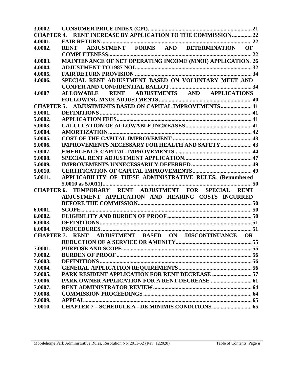| 4.0001. |                                                                 |  |
|---------|-----------------------------------------------------------------|--|
| 4.0002. |                                                                 |  |
|         |                                                                 |  |
| 4.0003. | MAINTENANCE OF NET OPERATING INCOME (MNOI) APPLICATION. 26      |  |
| 4.0004. |                                                                 |  |
| 4.0005. |                                                                 |  |
| 4.0006. | SPECIAL RENT ADJUSTMENT BASED ON VOLUNTARY MEET AND             |  |
|         |                                                                 |  |
| 4.0007  | ALLOWABLE RENT ADJUSTMENTS AND APPLICATIONS                     |  |
|         |                                                                 |  |
|         | CHAPTER 5. ADJUSTMENTS BASED ON CAPITAL IMPROVEMENTS 41         |  |
| 5.0001. |                                                                 |  |
| 5.0002. |                                                                 |  |
| 5.0003. |                                                                 |  |
| 5.0004. |                                                                 |  |
| 5.0005. |                                                                 |  |
| 5.0006. | <b>IMPROVEMENTS NECESSARY FOR HEALTH AND SAFETY  43</b>         |  |
| 5.0007. |                                                                 |  |
| 5.0008. |                                                                 |  |
| 5.0009. |                                                                 |  |
| 5.0010. |                                                                 |  |
| 5.0011. | APPLICABILITY OF THESE ADMINISTRATIVE RULES. (Renumbered        |  |
|         |                                                                 |  |
|         | CHAPTER 6. TEMPORARY RENT ADJUSTMENT FOR SPECIAL RENT           |  |
|         | ADJUSTMENT APPLICATION AND HEARING COSTS INCURRED               |  |
|         |                                                                 |  |
| 6.0001. |                                                                 |  |
| 6.0002. |                                                                 |  |
| 6.0003. |                                                                 |  |
| 6.0004. |                                                                 |  |
|         | ADJUSTMENT BASED ON DISCONTINUANCE OR<br><b>CHAPTER 7. RENT</b> |  |
|         |                                                                 |  |
| 7.0001. |                                                                 |  |
| 7.0002. |                                                                 |  |
| 7.0003. |                                                                 |  |
| 7.0004. |                                                                 |  |
| 7.0005. | PARK RESIDENT APPLICATION FOR RENT DECREASE  57                 |  |
| 7.0006. |                                                                 |  |
| 7.0007. |                                                                 |  |
| 7.0008. |                                                                 |  |
| 7.0009. |                                                                 |  |
| 7.0010. |                                                                 |  |
|         |                                                                 |  |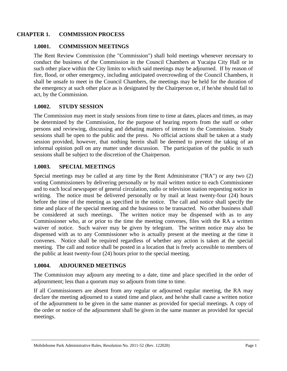#### <span id="page-5-0"></span>**CHAPTER 1. COMMISSION PROCESS**

#### <span id="page-5-1"></span>**1.0001. COMMISSION MEETINGS**

The Rent Review Commission (the "Commission") shall hold meetings whenever necessary to conduct the business of the Commission in the Council Chambers at Yucaipa City Hall or in such other place within the City limits to which said meetings may be adjourned. If by reason of fire, flood, or other emergency, including anticipated overcrowding of the Council Chambers, it shall be unsafe to meet in the Council Chambers, the meetings may be held for the duration of the emergency at such other place as is designated by the Chairperson or, if he/she should fail to act, by the Commission.

#### <span id="page-5-2"></span>**1.0002. STUDY SESSION**

The Commission may meet in study sessions from time to time at dates, places and times, as may be determined by the Commission, for the purpose of hearing reports from the staff or other persons and reviewing, discussing and debating matters of interest to the Commission. Study sessions shall be open to the public and the press. No official actions shall be taken at a study session provided, however, that nothing herein shall be deemed to prevent the taking of an informal opinion poll on any matter under discussion. The participation of the public in such sessions shall be subject to the discretion of the Chairperson.

#### <span id="page-5-3"></span>**1.0003. SPECIAL MEETINGS**

Special meetings may be called at any time by the Rent Administrator ("RA") or any two (2) voting Commissioners by delivering personally or by mail written notice to each Commissioner and to each local newspaper of general circulation, radio or television station requesting notice in writing. The notice must be delivered personally or by mail at least twenty-four (24) hours before the time of the meeting as specified in the notice. The call and notice shall specify the time and place of the special meeting and the business to be transacted. No other business shall be considered at such meetings. The written notice may be dispensed with as to any Commissioner who, at or prior to the time the meeting convenes, files with the RA a written waiver of notice. Such waiver may be given by telegram. The written notice may also be dispensed with as to any Commissioner who is actually present at the meeting at the time it convenes. Notice shall be required regardless of whether any action is taken at the special meeting. The call and notice shall be posted in a location that is freely accessible to members of the public at least twenty-four (24) hours prior to the special meeting.

#### <span id="page-5-4"></span>**1.0004. ADJOURNED MEETINGS**

The Commission may adjourn any meeting to a date, time and place specified in the order of adjournment; less than a quorum may so adjourn from time to time.

If all Commissioners are absent from any regular or adjourned regular meeting, the RA may declare the meeting adjourned to a stated time and place, and he/she shall cause a written notice of the adjournment to be given in the same manner as provided for special meetings. A copy of the order or notice of the adjournment shall be given in the same manner as provided for special meetings.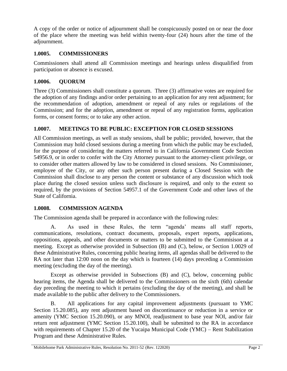A copy of the order or notice of adjournment shall be conspicuously posted on or near the door of the place where the meeting was held within twenty-four (24) hours after the time of the adjournment.

### <span id="page-6-0"></span>**1.0005. COMMISSIONERS**

Commissioners shall attend all Commission meetings and hearings unless disqualified from participation or absence is excused.

## <span id="page-6-1"></span>**1.0006. QUORUM**

Three (3) Commissioners shall constitute a quorum. Three (3) affirmative votes are required for the adoption of any findings and/or order pertaining to an application for any rent adjustment; for the recommendation of adoption, amendment or repeal of any rules or regulations of the Commission; and for the adoption, amendment or repeal of any registration forms, application forms, or consent forms; or to take any other action.

## <span id="page-6-2"></span>**1.0007. MEETINGS TO BE PUBLIC: EXCEPTION FOR CLOSED SESSIONS**

All Commission meetings, as well as study sessions, shall be public; provided, however, that the Commission may hold closed sessions during a meeting from which the public may be excluded, for the purpose of considering the matters referred to in California Government Code Section 54956.9, or in order to confer with the City Attorney pursuant to the attorney-client privilege, or to consider other matters allowed by law to be considered in closed sessions. No Commissioner, employee of the City, or any other such person present during a Closed Session with the Commission shall disclose to any person the content or substance of any discussion which took place during the closed session unless such disclosure is required, and only to the extent so required, by the provisions of Section 54957.1 of the Government Code and other laws of the State of California.

## <span id="page-6-3"></span>**1.0008. COMMISSION AGENDA**

The Commission agenda shall be prepared in accordance with the following rules:

A. As used in these Rules, the term "agenda' means all staff reports, communications, resolutions, contract documents, proposals, expert reports, applications, oppositions, appeals, and other documents or matters to be submitted to the Commisison at a meeting. Except as otherwise provided in Subsection (B) and (C), below, or Section 1.0029 of these Administrative Rules, concerning public hearing items, all agendas shall be delivered to the RA not later than 12:00 noon on the day which is fourteen (14) days preceding a Commission meeting (excluding the day of the meeting).

Except as otherwise provided in Subsections (B) and (C), below, concerning public hearing items, the Agenda shall be delivered to the Commissioners on the sixth (6th) calendar day preceding the meeting to which it pertains (excluding the day of the meeting), and shall be made available to the public after delivery to the Commissioners.

B. All applications for any capital improvement adjustments (pursuant to YMC Section 15.20.085), any rent adjustment based on discontinuance or reduction in a service or amenity (YMC Section 15.20.090), or any MNOI, readjustment to base year NOI, and/or fair return rent adjustment (YMC Section 15.20.100), shall be submitted to the RA in accordance with requirements of Chapter 15.20 of the Yucaipa Municipal Code (YMC) – Rent Stabilization Program and these Administrative Rules.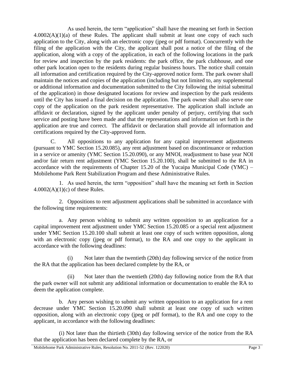As used herein, the term "application" shall have the meaning set forth in Section  $4.0002(A)(1)(a)$  of these Rules. The applicant shall submit at least one copy of each such application to the City, along with an electronic copy (jpeg or pdf format). Concurrently with the filing of the application with the City, the applicant shall post a notice of the filing of the application, along with a copy of the application, in each of the following locations in the park for review and inspection by the park residents: the park office, the park clubhouse, and one other park location open to the residents during regular business hours. The notice shall contain all information and certification required by the City-approved notice form. The park owner shall maintain the notices and copies of the application (including but not limited to, any supplemental or additional information and documentation submitted to the City following the initial submittal of the application) in those designated locations for review and inspection by the park residents until the City has issued a final decision on the application. The park owner shall also serve one copy of the application on the park resident representative. The application shall include an affidavit or declaration, signed by the applicant under penalty of perjury, certifying that such service and posting have been made and that the representations and information set forth in the application are true and correct. The affidavit or declaration shall provide all information and certifications required by the City-approved form.

C. All oppositions to any application for any capital improvement adjustments (pursuant to YMC Section 15.20.085), any rent adjustment based on discontinuance or reduction in a service or amenity (YMC Section 15.20.090), or any MNOI, readjustment to base year NOI and/or fair return rent adjustment (YMC Section 15.20.100), shall be submitted to the RA in accordance with the requirements of Chapter 15.20 of the Yucaipa Municipal Code (YMC) – Mobilehome Park Rent Stabilization Program and these Administrative Rules.

1. As used herein, the term "opposition" shall have the meaning set forth in Section  $4.0002(A)(1)(c)$  of these Rules.

2. Oppositions to rent adjustment applications shall be submitted in accordance with the following time requirements:

a. Any person wishing to submit any written opposition to an application for a capital improvement rent adjustment under YMC Section 15.20.085 or a special rent adjustment under YMC Section 15.20.100 shall submit at least one copy of such written opposition, along with an electronic copy (jpeg or pdf format), to the RA and one copy to the applicant in accordance with the following deadlines:

(i) Not later than the twentieth (20th) day following service of the notice from the RA that the application has been declared complete by the RA, or

(ii) Not later than the twentieth (20th) day following notice from the RA that the park owner will not submit any additional information or documentation to enable the RA to deem the application complete.

b. Any person wishing to submit any written opposition to an application for a rent decrease under YMC Section 15.20.090 shall submit at least one copy of such written opposition, along with an electronic copy (jpeg or pdf format), to the RA and one copy to the applicant, in accordance with the following deadlines:

(i) Not later than the thirtieth (30th) day following service of the notice from the RA that the application has been declared complete by the RA, or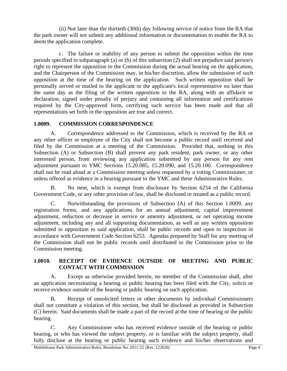(ii) Not later than the thirtieth (30th) day following service of notice from the RA that the park owner will not submit any additional information or documentation to enable the RA to deem the application complete.

c. The failure or inability of any person to submit the opposition within the time periods specified in subparagraph (a) or (b) of this subsection (2) shall not prejudice said person's right to represent the opposition to the Commission during the actual hearing on the application, and the Chairperson of the Commission may, in his/her discretion, allow the submission of such opposition at the time of the hearing on the application. Such written opposition shall be personally served or mailed to the applicant or the applicant's local representative no later than the same day as the filing of the written opposition to the RA, along with an affidavit or declaration, signed under penalty of perjury and containing all information and certifications required by the City-approved form, certifying such service has been made and that all representations set forth in the opposition are true and correct.

#### <span id="page-8-0"></span>**1.0009. COMMISSION CORRESPONDENCE**

A. Correspondence addressed to the Commission, which is received by the RA or any other officer or employee of the City shall not become a public record until received and filed by the Commission at a meeting of the Commission. Provided that, nothing in this Subsection (A) or Subsection (B) shall prevent any park resident, park owner, or any other interested person, from reviewing any application submitted by any person for any rent adjustment pursuant to YMC Sections 15.20.085, 15.20.090, and 15.20.100. Correspondence shall not be read aloud at a Commission meeting unless requested by a voting Commissioner, or unless offered as evidence in a hearing pursuant to the YMC and these Administrative Rules.

B. No item, which is exempt from disclosure by Section 6254 of the California Government Code, or any other provision of law, shall be disclosed or treated as a public record.

C. Notwithstanding the provisions of Subsection (A) of this Section 1.0009, any registration forms, and any applications for an annual adjustment, capital improvement adjustment, reduction or decrease in service or amenity adjustment, or net operating income adjustment, including any and all supporting documentation, as well as any written opposition submitted in opposition to said application, shall be public records and open to inspection in accordance with Government Code Section 6253. Agendas prepared by Staff for any meeting of the Commission shall not be public records until distributed to the Commission prior to the Commission meeting.

### <span id="page-8-1"></span>**1.0010. RECEIPT OF EVIDENCE OUTSIDE OF MEETING AND PUBLIC CONTACT WITH COMMISSION**

A. Except as otherwise provided herein, no member of the Commission shall, after an application necessitating a hearing or public hearing has been filed with the City, solicit or receive evidence outside of the hearing or public hearing on such application.

B. Receipt of unsolicited letters or other documents by individual Commissioners shall not constitute a violation of this section, but shall be disclosed as provided in Subsection (C) herein. Said documents shall be made a part of the record at the time of hearing or the public hearing.

C. Any Commissioner who has received evidence outside of the hearing or public hearing, or who has viewed the subject property, or is familiar with the subject property, shall fully disclose at the hearing or public hearing such evidence and his/her observations and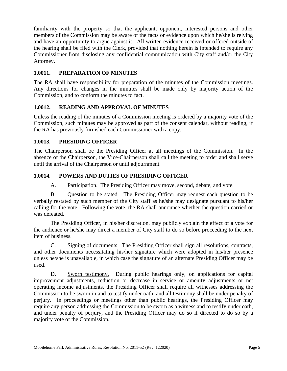familiarity with the property so that the applicant, opponent, interested persons and other members of the Commission may be aware of the facts or evidence upon which he/she is relying and have an opportunity to argue against it. All written evidence received or offered outside of the hearing shall be filed with the Clerk, provided that nothing herein is intended to require any Commissioner from disclosing any confidential communication with City staff and/or the City Attorney.

## <span id="page-9-0"></span>**1.0011. PREPARATION OF MINUTES**

The RA shall have responsibility for preparation of the minutes of the Commission meetings. Any directions for changes in the minutes shall be made only by majority action of the Commission, and to conform the minutes to fact.

## <span id="page-9-1"></span>**1.0012. READING AND APPROVAL OF MINUTES**

Unless the reading of the minutes of a Commission meeting is ordered by a majority vote of the Commission, such minutes may be approved as part of the consent calendar, without reading, if the RA has previously furnished each Commissioner with a copy.

## <span id="page-9-2"></span>**1.0013. PRESIDING OFFICER**

The Chairperson shall be the Presiding Officer at all meetings of the Commission. In the absence of the Chairperson, the Vice-Chairperson shall call the meeting to order and shall serve until the arrival of the Chairperson or until adjournment.

## <span id="page-9-3"></span>**1.0014. POWERS AND DUTIES OF PRESIDING OFFICER**

A. Participation. The Presiding Officer may move, second, debate, and vote.

B. Question to be stated. The Presiding Officer may request each question to be verbally restated by such member of the City staff as he/she may designate pursuant to his/her calling for the vote. Following the vote, the RA shall announce whether the question carried or was defeated.

The Presiding Officer, in his/her discretion, may publicly explain the effect of a vote for the audience or he/she may direct a member of City staff to do so before proceeding to the next item of business.

C. Signing of documents. The Presiding Officer shall sign all resolutions, contracts, and other documents necessitating his/her signature which were adopted in his/her presence unless he/she is unavailable, in which case the signature of an alternate Presiding Officer may be used.

D. Sworn testimony. During public hearings only, on applications for capital improvement adjustments, reduction or decrease in service or amenity adjustments or net operating income adjustments, the Presiding Officer shall require all witnesses addressing the Commission to be sworn in and to testify under oath, and all testimony shall be under penalty of perjury. In proceedings or meetings other than public hearings, the Presiding Officer may require any person addressing the Commission to be sworn as a witness and to testify under oath, and under penalty of perjury, and the Presiding Officer may do so if directed to do so by a majority vote of the Commission.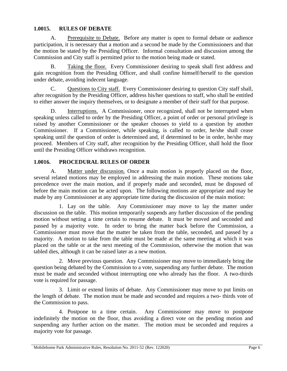#### <span id="page-10-0"></span>**1.0015. RULES OF DEBATE**

A. Prerequisite to Debate. Before any matter is open to formal debate or audience participation, it is necessary that a motion and a second be made by the Commissioners and that the motion be stated by the Presiding Officer. Informal consultation and discussion among the Commission and City staff is permitted prior to the motion being made or stated.

Taking the floor. Every Commissioner desiring to speak shall first address and gain recognition from the Presiding Officer, and shall confine himself/herself to the question under debate, avoiding indecent language.

C. Questions to City staff. Every Commissioner desiring to question City staff shall, after recognition by the Presiding Officer, address his/her questions to staff, who shall be entitled to either answer the inquiry themselves, or to designate a member of their staff for that purpose.

D. Interruptions. A Commissioner, once recognized, shall not be interrupted when speaking unless called to order by the Presiding Officer, a point of order or personal privilege is raised by another Commissioner or the speaker chooses to yield to a question by another Commissioner. If a Commissioner, while speaking, is called to order, he/she shall cease speaking until the question of order is determined and, if determined to be in order, he/she may proceed. Members of City staff, after recognition by the Presiding Officer, shall hold the floor until the Presiding Officer withdraws recognition.

### <span id="page-10-1"></span>**1.0016. PROCEDURAL RULES OF ORDER**

A. Matter under discussion. Once a main motion is properly placed on the floor, several related motions may be employed in addressing the main motion. These motions take precedence over the main motion, and if properly made and seconded, must be disposed of before the main motion can be acted upon. The following motions are appropriate and may be made by any Commissioner at any appropriate time during the discussion of the main motion:

1. Lay on the table. Any Commissioner may move to lay the matter under discussion on the table. This motion temporarily suspends any further discussion of the pending motion without setting a time certain to resume debate. It must be moved and seconded and passed by a majority vote. In order to bring the matter back before the Commission, a Commissioner must move that the matter be taken from the table, seconded, and passed by a majority. A motion to take from the table must be made at the same meeting at which it was placed on the table or at the next meeting of the Commission, otherwise the motion that was tabled dies, although it can be raised later as a new motion.

2. Move previous question. Any Commissioner may move to immediately bring the question being debated by the Commission to a vote, suspending any further debate. The motion must be made and seconded without interrupting one who already has the floor. A two-thirds vote is required for passage.

3. Limit or extend limits of debate. Any Commissioner may move to put limits on the length of debate. The motion must be made and seconded and requires a two- thirds vote of the Commission to pass.

4. Postpone to a time certain. Any Commissioner may move to postpone indefinitely the motion on the floor, thus avoiding a direct vote on the pending motion and suspending any further action on the matter. The motion must be seconded and requires a majority vote for passage.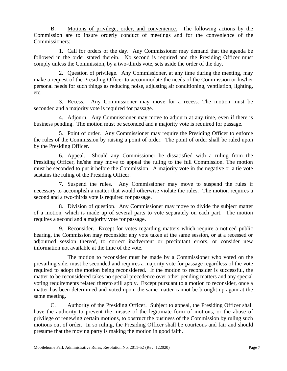B. Motions of privilege, order, and convenience. The following actions by the Commission are to insure orderly conduct of meetings and for the convenience of the Commissioners:

1. Call for orders of the day. Any Commissioner may demand that the agenda be followed in the order stated therein. No second is required and the Presiding Officer must comply unless the Commission, by a two-thirds vote, sets aside the order of the day.

2. Question of privilege. Any Commissioner, at any time during the meeting, may make a request of the Presiding Officer to accommodate the needs of the Commission or his/her personal needs for such things as reducing noise, adjusting air conditioning, ventilation, lighting, etc.

3. Recess. Any Commissioner may move for a recess. The motion must be seconded and a majority vote is required for passage.

4. Adjourn. Any Commissioner may move to adjourn at any time, even if there is business pending. The motion must be seconded and a majority vote is required for passage.

5. Point of order. Any Commissioner may require the Presiding Officer to enforce the rules of the Commission by raising a point of order. The point of order shall be ruled upon by the Presiding Officer.

6. Appeal. Should any Commissioner be dissatisfied with a ruling from the Presiding Officer, he/she may move to appeal the ruling to the full Commission. The motion must be seconded to put it before the Commission. A majority vote in the negative or a tie vote sustains the ruling of the Presiding Officer.

7. Suspend the rules. Any Commissioner may move to suspend the rules if necessary to accomplish a matter that would otherwise violate the rules. The motion requires a second and a two-thirds vote is required for passage.

8. Division of question. Any Commissioner may move to divide the subject matter of a motion, which is made up of several parts to vote separately on each part. The motion requires a second and a majority vote for passage.

9. Reconsider. Except for votes regarding matters which require a noticed public hearing, the Commission may reconsider any vote taken at the same session, or at a recessed or adjourned session thereof, to correct inadvertent or precipitant errors, or consider new information not available at the time of the vote.

The motion to reconsider must be made by a Commissioner who voted on the prevailing side, must be seconded and requires a majority vote for passage regardless of the vote required to adopt the motion being reconsidered. If the motion to reconsider is successful, the matter to be reconsidered takes no special precedence over other pending matters and any special voting requirements related thereto still apply. Except pursuant to a motion to reconsider, once a matter has been determined and voted upon, the same matter cannot be brought up again at the same meeting.

C. Authority of the Presiding Officer. Subject to appeal, the Presiding Officer shall have the authority to prevent the misuse of the legitimate form of motions, or the abuse of privilege of renewing certain motions, to obstruct the business of the Commission by ruling such motions out of order. In so ruling, the Presiding Officer shall be courteous and fair and should presume that the moving party is making the motion in good faith.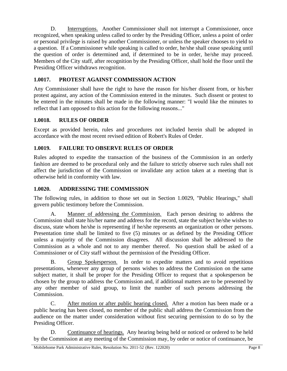D. Interruptions. Another Commissioner shall not interrupt a Commissioner, once recognized, when speaking unless called to order by the Presiding Officer, unless a point of order or personal privilege is raised by another Commissioner, or unless the speaker chooses to yield to a question. If a Commissioner while speaking is called to order, he/she shall cease speaking until the question of order is determined and, if determined to be in order, he/she may proceed. Members of the City staff, after recognition by the Presiding Officer, shall hold the floor until the Presiding Officer withdraws recognition.

## <span id="page-12-0"></span>**1.0017. PROTEST AGAINST COMMISSION ACTION**

Any Commissioner shall have the right to have the reason for his/her dissent from, or his/her protest against, any action of the Commission entered in the minutes. Such dissent or protest to be entered in the minutes shall be made in the following manner: "I would like the minutes to reflect that I am opposed to this action for the following reasons..."

## <span id="page-12-1"></span>**1.0018. RULES OF ORDER**

Except as provided herein, rules and procedures not included herein shall be adopted in accordance with the most recent revised edition of Robert's Rules of Order.

## <span id="page-12-2"></span>**1.0019. FAILURE TO OBSERVE RULES OF ORDER**

Rules adopted to expedite the transaction of the business of the Commission in an orderly fashion are deemed to be procedural only and the failure to strictly observe such rules shall not affect the jurisdiction of the Commission or invalidate any action taken at a meeting that is otherwise held in conformity with law.

## <span id="page-12-3"></span>**1.0020. ADDRESSING THE COMMISSION**

The following rules, in addition to those set out in Section 1.0029, "Public Hearings," shall govern public testimony before the Commission.

A. Manner of addressing the Commission. Each person desiring to address the Commission shall state his/her name and address for the record, state the subject he/she wishes to discuss, state whom he/she is representing if he/she represents an organization or other persons. Presentation time shall be limited to five (5) minutes or as defined by the Presiding Officer unless a majority of the Commission disagrees. All discussion shall be addressed to the Commission as a whole and not to any member thereof. No question shall be asked of a Commissioner or of City staff without the permission of the Presiding Officer.

B. Group Spokesperson. In order to expedite matters and to avoid repetitious presentations, whenever any group of persons wishes to address the Commission on the same subject matter, it shall be proper for the Presiding Officer to request that a spokesperson be chosen by the group to address the Commission and, if additional matters are to be presented by any other member of said group, to limit the number of such persons addressing the Commission.

C. After motion or after public hearing closed. After a motion has been made or a public hearing has been closed, no member of the public shall address the Commission from the audience on the matter under consideration without first securing permission to do so by the Presiding Officer.

D. Continuance of hearings. Any hearing being held or noticed or ordered to be held by the Commission at any meeting of the Commission may, by order or notice of continuance, be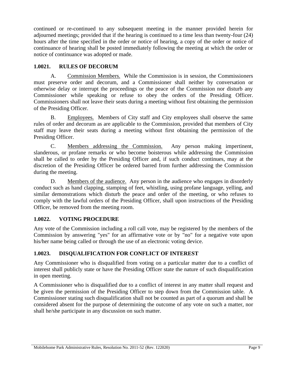continued or re-continued to any subsequent meeting in the manner provided herein for adjourned meetings; provided that if the hearing is continued to a time less than twenty-four (24) hours after the time specified in the order or notice of hearing, a copy of the order or notice of continuance of hearing shall be posted immediately following the meeting at which the order or notice of continuance was adopted or made.

## <span id="page-13-0"></span>**1.0021. RULES OF DECORUM**

A. Commission Members. While the Commission is in session, the Commissioners must preserve order and decorum, and a Commissioner shall neither by conversation or otherwise delay or interrupt the proceedings or the peace of the Commission nor disturb any Commissioner while speaking or refuse to obey the orders of the Presiding Officer. Commissioners shall not leave their seats during a meeting without first obtaining the permission of the Presiding Officer.

B. Employees. Members of City staff and City employees shall observe the same rules of order and decorum as are applicable to the Commission, provided that members of City staff may leave their seats during a meeting without first obtaining the permission of the Presiding Officer.

C. Members addressing the Commission. Any person making impertinent, slanderous, or profane remarks or who become boisterous while addressing the Commission shall be called to order by the Presiding Officer and, if such conduct continues, may at the discretion of the Presiding Officer be ordered barred from further addressing the Commission during the meeting.

D. Members of the audience. Any person in the audience who engages in disorderly conduct such as hand clapping, stamping of feet, whistling, using profane language, yelling, and similar demonstrations which disturb the peace and order of the meeting, or who refuses to comply with the lawful orders of the Presiding Officer, shall upon instructions of the Presiding Officer, be removed from the meeting room.

## <span id="page-13-1"></span>**1.0022. VOTING PROCEDURE**

Any vote of the Commission including a roll call vote, may be registered by the members of the Commission by answering "yes" for an affirmative vote or by "no" for a negative vote upon his/her name being called or through the use of an electronic voting device.

## <span id="page-13-2"></span>**1.0023. DISQUALIFICATION FOR CONFLICT OF INTEREST**

Any Commissioner who is disqualified from voting on a particular matter due to a conflict of interest shall publicly state or have the Presiding Officer state the nature of such disqualification in open meeting.

A Commissioner who is disqualified due to a conflict of interest in any matter shall request and be given the permission of the Presiding Officer to step down from the Commission table. A Commissioner stating such disqualification shall not be counted as part of a quorum and shall be considered absent for the purpose of determining the outcome of any vote on such a matter, nor shall he/she participate in any discussion on such matter.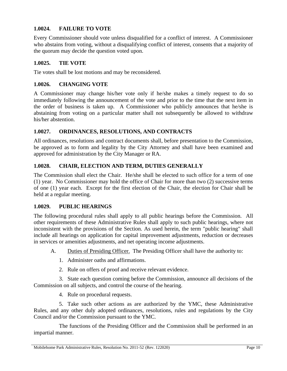## <span id="page-14-0"></span>**1.0024. FAILURE TO VOTE**

Every Commissioner should vote unless disqualified for a conflict of interest. A Commissioner who abstains from voting, without a disqualifying conflict of interest, consents that a majority of the quorum may decide the question voted upon.

#### <span id="page-14-1"></span>**1.0025. TIE VOTE**

<span id="page-14-2"></span>Tie votes shall be lost motions and may be reconsidered.

#### **1.0026. CHANGING VOTE**

A Commissioner may change his/her vote only if he/she makes a timely request to do so immediately following the announcement of the vote and prior to the time that the next item in the order of business is taken up. A Commissioner who publicly announces that he/she is abstaining from voting on a particular matter shall not subsequently be allowed to withdraw his/her abstention.

#### <span id="page-14-3"></span>**1.0027. ORDINANCES, RESOLUTIONS, AND CONTRACTS**

All ordinances, resolutions and contract documents shall, before presentation to the Commission, be approved as to form and legality by the City Attorney and shall have been examined and approved for administration by the City Manager or RA.

#### <span id="page-14-4"></span>**1.0028. CHAIR, ELECTION AND TERM, DUTIES GENERALLY**

The Commission shall elect the Chair. He/she shall be elected to such office for a term of one (1) year. No Commissioner may hold the office of Chair for more than two (2) successive terms of one (1) year each. Except for the first election of the Chair, the election for Chair shall be held at a regular meeting.

#### <span id="page-14-5"></span>**1.0029. PUBLIC HEARINGS**

The following procedural rules shall apply to all public hearings before the Commission. All other requirements of these Administrative Rules shall apply to such public hearings, where not inconsistent with the provisions of the Section. As used herein, the term "public hearing" shall include all hearings on application for capital improvement adjustments, reduction or decreases in services or amenities adjustments, and net operating income adjustments.

- A. Duties of Presiding Officer. The Presiding Officer shall have the authority to:
	- 1. Administer oaths and affirmations.
	- 2. Rule on offers of proof and receive relevant evidence.

3. State each question coming before the Commission, announce all decisions of the Commission on all subjects, and control the course of the hearing.

4. Rule on procedural requests.

5. Take such other actions as are authorized by the YMC, these Administrative Rules, and any other duly adopted ordinances, resolutions, rules and regulations by the City Council and/or the Commission pursuant to the YMC.

The functions of the Presiding Officer and the Commission shall be performed in an impartial manner.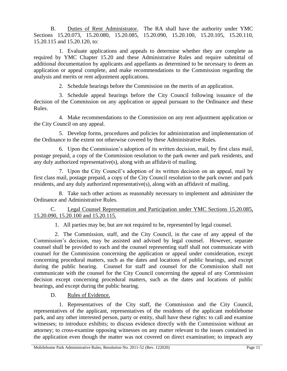B. Duties of Rent Administrator. The RA shall have the authority under YMC Sections 15.20.073, 15.20.080, 15.20.085, 15.20.090, 15.20.100, 15.20.105, 15.20.110, 15.20.115 and 15.20.120, to:

1. Evaluate applications and appeals to determine whether they are complete as required by YMC Chapter 15.20 and these Administrative Rules and require submittal of additional documentation by applicants and appellants as determined to be necessary to deem an application or appeal complete, and make recommendations to the Commission regarding the analysis and merits or rent adjustment applications.

2. Schedule hearings before the Commission on the merits of an application.

3. Schedule appeal hearings before the City Council following issuance of the decision of the Commission on any application or appeal pursuant to the Ordinance and these Rules.

4. Make recommendations to the Commission on any rent adjustment application or the City Council on any appeal.

5. Develop forms, procedures and policies for administration and implementation of the Ordinance to the extent not otherwise covered by these Administrative Rules.

6. Upon the Commission's adoption of its written decision, mail, by first class mail, postage prepaid, a copy of the Commission resolution to the park owner and park residents, and any duly authorized representative(s), along with an affidavit of mailing.

7. Upon the City Council's adoption of its written decision on an appeal, mail by first class mail, postage prepaid, a copy of the City Council resolution to the park owner and park residents, and any duly authorized representative(s), along with an affidavit of mailing.

8. Take such other actions as reasonably necessary to implement and administer the Ordinance and Administrative Rules.

C. Legal Counsel Representation and Participation under YMC Sections 15.20.085, 15.20.090, 15.20.100 and 15.20.115.

1. All parties may be, but are not required to be, represented by legal counsel.

2. The Commission, staff, and the City Council, in the case of any appeal of the Commission's decision, may be assisted and advised by legal counsel. However, separate counsel shall be provided to each and the counsel representing staff shall not communicate with counsel for the Commission concerning the application or appeal under consideration, except concerning procedural matters, such as the dates and locations of public hearings, and except during the public hearing. Counsel for staff and counsel for the Commission shall not communicate with the counsel for the City Council concerning the appeal of any Commission decision except concerning procedural matters, such as the dates and locations of public hearings, and except during the public hearing.

D. Rules of Evidence.

1. Representatives of the City staff, the Commission and the City Council, representatives of the applicant, representatives of the residents of the applicant mobilehome park, and any other interested person, party or entity, shall have these rights: to call and examine witnesses; to introduce exhibits; to discuss evidence directly with the Commission without an attorney; to cross-examine opposing witnesses on any matter relevant to the issues contained in the application even though the matter was not covered on direct examination; to impeach any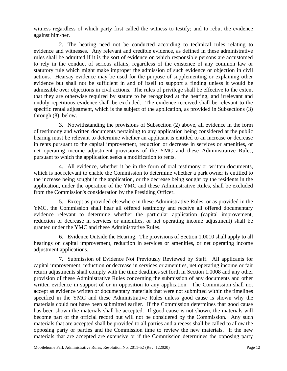witness regardless of which party first called the witness to testify; and to rebut the evidence against him/her.

2. The hearing need not be conducted according to technical rules relating to evidence and witnesses. Any relevant and credible evidence, as defined in these administrative rules shall be admitted if it is the sort of evidence on which responsible persons are accustomed to rely in the conduct of serious affairs, regardless of the existence of any common law or statutory rule which might make improper the admission of such evidence or objection in civil actions. Hearsay evidence may be used for the purpose of supplementing or explaining other evidence but shall not be sufficient in and of itself to support a finding unless it would be admissible over objections in civil actions. The rules of privilege shall be effective to the extent that they are otherwise required by statute to be recognized at the hearing, and irrelevant and unduly repetitious evidence shall be excluded. The evidence received shall be relevant to the specific rental adjustment, which is the subject of the application, as provided in Subsections (3) through (8), below.

3. Notwithstanding the provisions of Subsection (2) above, all evidence in the form of testimony and written documents pertaining to any application being considered at the public hearing must be relevant to determine whether an applicant is entitled to an increase or decrease in rents pursuant to the capital improvement, reduction or decrease in services or amenities, or net operating income adjustment provisions of the YMC and these Administrative Rules, pursuant to which the application seeks a modification to rents.

4. All evidence, whether it be in the form of oral testimony or written documents, which is not relevant to enable the Commission to determine whether a park owner is entitled to the increase being sought in the application, or the decrease being sought by the residents in the application, under the operation of the YMC and these Administrative Rules, shall be excluded from the Commission's consideration by the Presiding Officer.

5. Except as provided elsewhere in these Administrative Rules, or as provided in the YMC, the Commission shall hear all offered testimony and receive all offered documentary evidence relevant to determine whether the particular application (capital improvement, reduction or decrease in services or amenities, or net operating income adjustment) shall be granted under the YMC and these Administrative Rules.

6. Evidence Outside the Hearing. The provisions of Section 1.0010 shall apply to all hearings on capital improvement, reduction in services or amenities, or net operating income adjustment applications.

7. Submission of Evidence Not Previously Reviewed by Staff. All applicants for capital improvement, reduction or decrease in services or amenities, net operating income or fair return adjustments shall comply with the time deadlines set forth in Section 1.0008 and any other provision of these Administrative Rules concerning the submission of any documents and other written evidence in support of or in opposition to any application. The Commission shall not accept as evidence written or documentary materials that were not submitted within the timelines specified in the YMC and these Administrative Rules unless good cause is shown why the materials could not have been submitted earlier. If the Commission determines that good cause has been shown the materials shall be accepted. If good cause is not shown, the materials will become part of the official record but will not be considered by the Commission. Any such materials that are accepted shall be provided to all parties and a recess shall be called to allow the opposing party or parties and the Commission time to review the new materials. If the new materials that are accepted are extensive or if the Commission determines the opposing party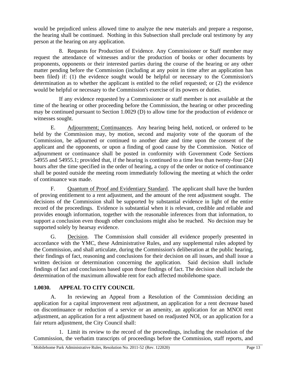would be prejudiced unless allowed time to analyze the new materials and prepare a response, the hearing shall be continued. Nothing in this Subsection shall preclude oral testimony by any person at the hearing on any application.

8. Requests for Production of Evidence. Any Commissioner or Staff member may request the attendance of witnesses and/or the production of books or other documents by proponents, opponents or their interested parties during the course of the hearing or any other matter pending before the Commission (including at any point in time after an application has been filed) if: (1) the evidence sought would be helpful or necessary to the Commission's determination as to whether the applicant is entitled to the relief requested; or (2) the evidence would be helpful or necessary to the Commission's exercise of its powers or duties.

If any evidence requested by a Commissioner or staff member is not available at the time of the hearing or other proceeding before the Commission, the hearing or other proceeding may be continued pursuant to Section 1.0029 (D) to allow time for the production of evidence or witnesses sought.

E. Adjournment; Continuances. Any hearing being held, noticed, or ordered to be held by the Commission may, by motion, second and majority vote of the quorum of the Commission, be adjourned or continued to another date and time upon the consent of the applicant and the opponents, or upon a finding of good cause by the Commission. Notice of adjournment or continuance shall be posted in conformity with Government Code Sections 54955 and 54955.1; provided that, if the hearing is continued to a time less than twenty-four (24) hours after the time specified in the order of hearing, a copy of the order or notice of continuance shall be posted outside the meeting room immediately following the meeting at which the order of continuance was made.

F. Quantum of Proof and Evidentiary Standard. The applicant shall have the burden of proving entitlement to a rent adjustment, and the amount of the rent adjustment sought. The decisions of the Commission shall be supported by substantial evidence in light of the entire record of the proceedings. Evidence is substantial when it is relevant, credible and reliable and provides enough information, together with the reasonable inferences from that information, to support a conclusion even though other conclusions might also be reached. No decision may be supported solely by hearsay evidence.

G. Decision. The Commission shall consider all evidence properly presented in accordance with the YMC, these Administrative Rules, and any supplemental rules adopted by the Commission, and shall articulate, during the Commission's deliberation at the public hearing, their findings of fact, reasoning and conclusions for their decision on all issues, and shall issue a written decision or determination concerning the application. Said decision shall include findings of fact and conclusions based upon those findings of fact. The decision shall include the determination of the maximum allowable rent for each affected mobilehome space.

## <span id="page-17-0"></span>**1.0030. APPEAL TO CITY COUNCIL**

A. In reviewing an Appeal from a Resolution of the Commission deciding an application for a capital improvement rent adjustment, an application for a rent decrease based on discontinuance or reduction of a service or an amenity, an application for an MNOI rent adjustment, an application for a rent adjustment based on readjusted NOI, or an application for a fair return adjustment, the City Council shall:

1. Limit its review to the record of the proceedings, including the resolution of the Commission, the verbatim transcripts of proceedings before the Commission, staff reports, and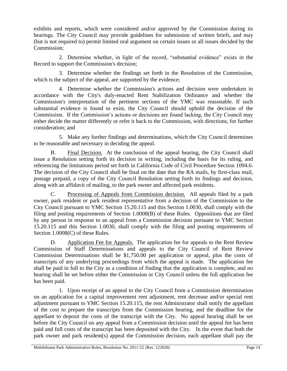exhibits and reports, which were considered and/or approved by the Commission during its hearings. The City Council may provide guidelines for submission of written briefs, and may (but is not required to) permit limited oral argument on certain issues or all issues decided by the Commission;

2. Determine whether, in light of the record, "substantial evidence" exists in the Record to support the Commission's decision;

3. Determine whether the findings set forth in the Resolution of the Commission, which is the subject of the appeal, are supported by the evidence;

4. Determine whether the Commission's actions and decision were undertaken in accordance with the City's duly-enacted Rent Stabilization Ordinance and whether the Commission's interpretation of the pertinent sections of the YMC was reasonable. If such substantial evidence is found to exist, the City Council should uphold the decision of the Commission. If the Commission's actions or decisions are found lacking, the City Council may either decide the matter differently or refer it back to the Commission, with directions, for further consideration; and

5. Make any further findings and determinations, which the City Council determines to be reasonable and necessary in deciding the appeal.

B. Final Decision. At the conclusion of the appeal hearing, the City Council shall issue a Resolution setting forth its decision in writing, including the basis for its ruling, and referencing the limitations period set forth in California Code of Civil Procedure Section 1094.6. The decision of the City Council shall be final on the date that the RA mails, by first-class mail, postage prepaid, a copy of the City Council Resolution setting forth its findings and decision, along with an affidavit of mailing, to the park owner and affected park residents.

C. Processing of Appeals from Commission decision. All appeals filed by a park owner, park resident or park resident representative from a decision of the Commission to the City Council pursuant to YMC Section 15.20.115 and this Section 1.0030, shall comply with the filing and posting requirements of Section 1.0008(B) of these Rules. Oppositions that are filed by any person in response to an appeal from a Commission decision pursuant to YMC Section 15.20.115 and this Section 1.0030, shall comply with the filing and posting requirements of Section 1.0008(C) of these Rules.

D. Application Fee for Appeals. The application fee for appeals to the Rent Review Commission of Staff Determinations and appeals to the City Council of Rent Review Commission Determinations shall be \$1,750.00 per application or appeal, plus the costs of transcripts of any underlying proceedings from which the appeal is made. The application fee shall be paid in full to the City as a condition of finding that the application is complete, and no hearing shall be set before either the Commission or City Council unless the full application fee has been paid.

1. Upon receipt of an appeal to the City Council from a Commission determination on an application for a capital improvement rent adjustment, rent decrease and/or special rent adjustment pursuant to YMC Section 15.20.115, the rent Administrator shall notify the appellant of the cost to prepare the transcripts from the Commission hearing, and the deadline for the appellant to deposit the costs of the transcript with the City. No appeal hearing shall be set before the City Council on any appeal from a Commission decision until the appeal fee has been paid and full costs of the transcript has been deposited with the City. In the event that both the park owner and park resident(s) appeal the Commission decision, each appellant shall pay the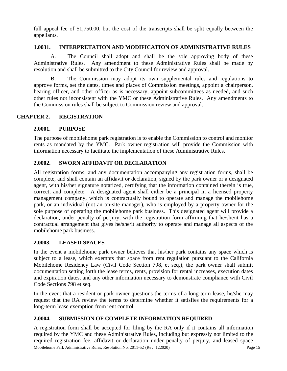full appeal fee of \$1,750.00, but the cost of the transcripts shall be split equally between the appellants.

#### <span id="page-19-0"></span>**1.0031. INTERPRETATION AND MODIFICATION OF ADMINISTRATIVE RULES**

A. The Council shall adopt and shall be the sole approving body of these Administrative Rules. Any amendment to these Administrative Rules shall be made by resolution and shall be submitted to the City Council for review and approval.

B. The Commission may adopt its own supplemental rules and regulations to approve forms, set the dates, times and places of Commission meetings, appoint a chairperson, hearing officer, and other officer as is necessary, appoint subcommittees as needed, and such other rules not inconsistent with the YMC or these Administrative Rules. Any amendments to the Commission rules shall be subject to Commission review and approval.

### **CHAPTER 2. REGISTRATION**

#### <span id="page-19-2"></span><span id="page-19-1"></span>**2.0001. PURPOSE**

The purpose of mobilehome park registration is to enable the Commission to control and monitor rents as mandated by the YMC. Park owner registration will provide the Commission with information necessary to facilitate the implementation of these Administrative Rules.

#### <span id="page-19-3"></span>**2.0002. SWORN AFFIDAVIT OR DECLARATION**

All registration forms, and any documentation accompanying any registration forms, shall be complete, and shall contain an affidavit or declaration, signed by the park owner or a designated agent, with his/her signature notarized, certifying that the information contained therein is true, correct, and complete. A designated agent shall either be a principal in a licensed property management company, which is contractually bound to operate and manage the mobilehome park, or an individual (not an on-site manager), who is employed by a property owner for the sole purpose of operating the mobilehome park business. This designated agent will provide a declaration, under penalty of perjury, with the registration form affirming that he/she/it has a contractual arrangement that gives he/she/it authority to operate and manage all aspects of the mobilehome park business.

#### <span id="page-19-4"></span>**2.0003. LEASED SPACES**

In the event a mobilehome park owner believes that his/her park contains any space which is subject to a lease, which exempts that space from rent regulation pursuant to the California Mobilehome Residency Law (Civil Code Section 798, et seq.), the park owner shall submit documentation setting forth the lease terms, rents, provision for rental increases, execution dates and expiration dates, and any other information necessary to demonstrate compliance with Civil Code Sections 798 et seq.

In the event that a resident or park owner questions the terms of a long-term lease, he/she may request that the RA review the terms to determine whether it satisfies the requirements for a long-term lease exemption from rent control.

#### <span id="page-19-5"></span>**2.0004. SUBMISSION OF COMPLETE INFORMATION REQUIRED**

A registration form shall be accepted for filing by the RA only if it contains all information required by the YMC and these Administrative Rules, including but expressly not limited to the required registration fee, affidavit or declaration under penalty of perjury, and leased space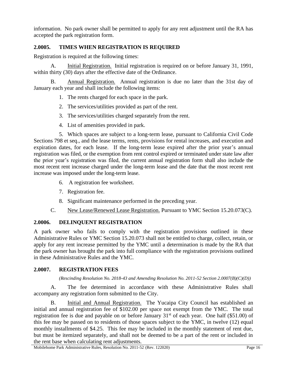information. No park owner shall be permitted to apply for any rent adjustment until the RA has accepted the park registration form.

### <span id="page-20-0"></span>**2.0005. TIMES WHEN REGISTRATION IS REQUIRED**

Registration is required at the following times:

A. Initial Registration. Initial registration is required on or before January 31, 1991, within thirty (30) days after the effective date of the Ordinance.

B. Annual Registration. Annual registration is due no later than the 31st day of January each year and shall include the following items:

- 1. The rents charged for each space in the park.
- 2. The services/utilities provided as part of the rent.
- 3. The services/utilities charged separately from the rent.
- 4. List of amenities provided in park.

5. Which spaces are subject to a long-term lease, pursuant to California Civil Code Sections 798 et seq., and the lease terms, rents, provisions for rental increases, and execution and expiration dates, for each lease. If the long-term lease expired after the prior year's annual registration was filed, or the exemption from rent control expired or terminated under state law after the prior year's registration was filed, the current annual registration form shall also include the most recent rent increase charged under the long-term lease and the date that the most recent rent increase was imposed under the long-term lease.

- 6. A registration fee worksheet.
- 7. Registration fee.
- 8. Significant maintenance performed in the preceding year.
- C. New Lease/Renewed Lease Registration. Pursuant to YMC Section 15.20.073(C).

#### <span id="page-20-1"></span>**2.0006. DELINQUENT REGISTRATION**

A park owner who fails to comply with the registration provisions outlined in these Administrative Rules or YMC Section 15.20.073 shall not be entitled to charge, collect, retain, or apply for any rent increase permitted by the YMC until a determination is made by the RA that the park owner has brought the park into full compliance with the registration provisions outlined in these Administrative Rules and the YMC.

#### <span id="page-20-2"></span>**2.0007. REGISTRATION FEES**

*(Rescinding Resolution No. 2018-43 and Amending Resolution No. 2011-52 Section 2.0007(B)(C)(D))*

A. The fee determined in accordance with these Administrative Rules shall accompany any registration form submitted to the City.

B. Initial and Annual Registration. The Yucaipa City Council has established an initial and annual registration fee of \$102.00 per space not exempt from the YMC. The total registration fee is due and payable on or before January  $31<sup>st</sup>$  of each year. One half (\$51.00) of this fee may be passed on to residents of those spaces subject to the YMC, in twelve (12) equal monthly installments of \$4.25. This fee may be included in the monthly statement of rent due, but must be itemized separately, and shall not be deemed to be a part of the rent or included in the rent base when calculating rent adjustments.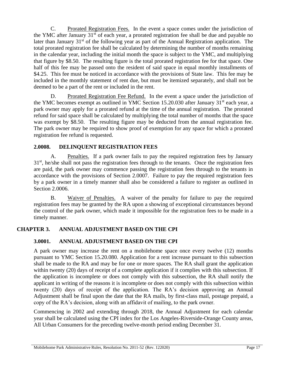C. Prorated Registration Fees. In the event a space comes under the jurisdiction of the YMC after January  $31<sup>st</sup>$  of each year, a prorated registration fee shall be due and payable no later than January  $31<sup>st</sup>$  of the following year as part of the Annual Registration application. The total prorated registration fee shall be calculated by determining the number of months remaining in the calendar year, including the initial month the space is subject to the YMC, and multiplying that figure by \$8.50. The resulting figure is the total prorated registration fee for that space. One half of this fee may be passed onto the resident of said space in equal monthly installments of \$4.25. This fee must be noticed in accordance with the provisions of State law. This fee may be included in the monthly statement of rent due, but must be itemized separately, and shall not be deemed to be a part of the rent or included in the rent.

D. Prorated Registration Fee Refund. In the event a space under the jurisdiction of the YMC becomes exempt as outlined in YMC Section 15.20.030 after January  $31<sup>st</sup>$  each year, a park owner may apply for a prorated refund at the time of the annual registration. The prorated refund for said space shall be calculated by multiplying the total number of months that the space was exempt by \$8.50. The resulting figure may be deducted from the annual registration fee. The park owner may be required to show proof of exemption for any space for which a prorated registration fee refund is requested.

## <span id="page-21-0"></span>**2.0008. DELINQUENT REGISTRATION FEES**

A. Penalties. If a park owner fails to pay the required registration fees by January  $31<sup>st</sup>$ , he/she shall not pass the registration fees through to the tenants. Once the registration fees are paid, the park owner may commence passing the registration fees through to the tenants in accordance with the provisions of Section 2.0007. Failure to pay the required registration fees by a park owner in a timely manner shall also be considered a failure to register as outlined in Section 2.0006.

B. Waiver of Penalties. A waiver of the penalty for failure to pay the required registration fees may be granted by the RA upon a showing of exceptional circumstances beyond the control of the park owner, which made it impossible for the registration fees to be made in a timely manner.

## **CHAPTER 3. ANNUAL ADJUSTMENT BASED ON THE CPI**

## <span id="page-21-2"></span><span id="page-21-1"></span>**3.0001. ANNUAL ADJUSTMENT BASED ON THE CPI**

A park owner may increase the rent on a mobilehome space once every twelve (12) months pursuant to YMC Section 15.20.080. Application for a rent increase pursuant to this subsection shall be made to the RA and may be for one or more spaces. The RA shall grant the application within twenty (20) days of receipt of a complete application if it complies with this subsection. If the application is incomplete or does not comply with this subsection, the RA shall notify the applicant in writing of the reasons it is incomplete or does not comply with this subsection within twenty (20) days of receipt of the application. The RA's decision approving an Annual Adjustment shall be final upon the date that the RA mails, by first-class mail, postage prepaid, a copy of the RA's decision, along with an affidavit of mailing, to the park owner.

Commencing in 2002 and extending through 2018, the Annual Adjustment for each calendar year shall be calculated using the CPI index for the Los Angeles-Riverside-Orange County areas, All Urban Consumers for the preceding twelve-month period ending December 31.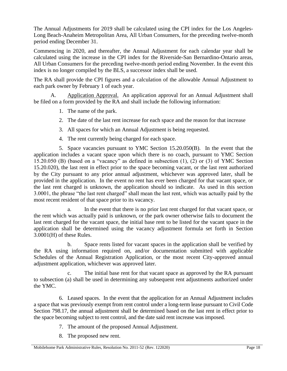The Annual Adjustments for 2019 shall be calculated using the CPI index for the Los Angeles-Long Beach-Anaheim Metropolitan Area, All Urban Consumers, for the preceding twelve-month period ending December 31.

Commencing in 2020, and thereafter, the Annual Adjustment for each calendar year shall be calculated using the increase in the CPI index for the Riverside-San Bernardino-Ontario areas, All Urban Consumers for the preceding twelve-month period ending November. In the event this index is no longer compiled by the BLS, a successor index shall be used.

The RA shall provide the CPI figures and a calculation of the allowable Annual Adjustment to each park owner by February 1 of each year.

Application Approval. An application approval for an Annual Adjustment shall be filed on a form provided by the RA and shall include the following information:

- 1. The name of the park.
- 2. The date of the last rent increase for each space and the reason for that increase
- 3. All spaces for which an Annual Adjustment is being requested.
- 4. The rent currently being charged for each space.

5. Space vacancies pursuant to YMC Section 15.20.050(B). In the event that the application includes a vacant space upon which there is no coach, pursuant to YMC Section 15.20.050 (B) (based on a "vacancy" as defined in subsection (1), (2) or (3) of YMC Section 15.20.020), the last rent in effect prior to the space becoming vacant, or the last rent authorized by the City pursuant to any prior annual adjustment, whichever was approved later, shall be provided in the application. In the event no rent has ever been charged for that vacant space, or the last rent charged is unknown, the application should so indicate. As used in this section 3.0001, the phrase "the last rent charged" shall mean the last rent, which was actually paid by the most recent resident of that space prior to its vacancy.

a. In the event that there is no prior last rent charged for that vacant space, or the rent which was actually paid is unknown, or the park owner otherwise fails to document the last rent charged for the vacant space, the initial base rent to be listed for the vacant space in the application shall be determined using the vacancy adjustment formula set forth in Section 3.0001(H) of these Rules.

b. Space rents listed for vacant spaces in the application shall be verified by the RA using information required on, and/or documentation submitted with applicable Schedules of the Annual Registration Application, or the most recent City-approved annual adjustment application, whichever was approved later.

c. The initial base rent for that vacant space as approved by the RA pursuant to subsection (a) shall be used in determining any subsequent rent adjustments authorized under the YMC.

6. Leased spaces. In the event that the application for an Annual Adjustment includes a space that was previously exempt from rent control under a long-term lease pursuant to Civil Code Section 798.17, the annual adjustment shall be determined based on the last rent in effect prior to the space becoming subject to rent control, and the date said rent increase was imposed.

- 7. The amount of the proposed Annual Adjustment.
- 8. The proposed new rent.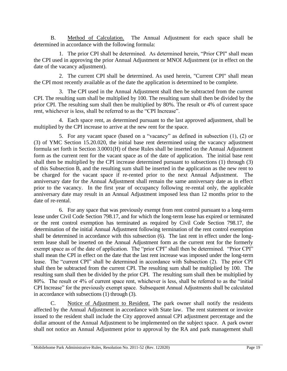B. Method of Calculation. The Annual Adjustment for each space shall be determined in accordance with the following formula:

1. The prior CPI shall be determined. As determined herein, "Prior CPI" shall mean the CPI used in approving the prior Annual Adjustment or MNOI Adjustment (or in effect on the date of the vacancy adjustment).

2. The current CPI shall be determined. As used herein, "Current CPI" shall mean the CPI most recently available as of the date the application is determined to be complete.

3. The CPI used in the Annual Adjustment shall then be subtracted from the current CPI. The resulting sum shall be multiplied by 100. The resulting sum shall then be divided by the prior CPI. The resulting sum shall then be multiplied by 80%. The result or 4% of current space rent, whichever is less, shall be referred to as the "CPI Increase".

4. Each space rent, as determined pursuant to the last approved adjustment, shall be multiplied by the CPI increase to arrive at the new rent for the space.

5. For any vacant space (based on a "vacancy" as defined in subsection (1), (2) or (3) of YMC Section 15.20.020, the initial base rent determined using the vacancy adjustment formula set forth in Section 3.0001(H) of these Rules shall be inserted on the Annual Adjustment form as the current rent for the vacant space as of the date of application. The initial base rent shall then be multiplied by the CPI increase determined pursuant to subsections (1) through (3) of this Subsection B, and the resulting sum shall be inserted in the application as the new rent to be charged for the vacant space if re-rented prior to the next Annual Adjustment. The anniversary date for the Annual Adjustment shall remain the same anniversary date as in effect prior to the vacancy. In the first year of occupancy following re-rental only, the applicable anniversary date may result in an Annual Adjustment imposed less than 12 months prior to the date of re-rental.

6. For any space that was previously exempt from rent control pursuant to a long-term lease under Civil Code Section 798.17, and for which the long-term lease has expired or terminated or the rent control exemption has terminated as required by Civil Code Section 798.17, the determination of the initial Annual Adjustment following termination of the rent control exemption shall be determined in accordance with this subsection (6). The last rent in effect under the longterm lease shall be inserted on the Annual Adjustment form as the current rent for the formerly exempt space as of the date of application. The "prior CPI" shall then be determined. "Prior CPI" shall mean the CPI in effect on the date that the last rent increase was imposed under the long-term lease. The "current CPI" shall be determined in accordance with Subsection (2). The prior CPI shall then be subtracted from the current CPI. The resulting sum shall be multiplied by 100. The resulting sum shall then be divided by the prior CPI. The resulting sum shall then be multiplied by 80%. The result or 4% of current space rent, whichever is less, shall be referred to as the "initial CPI Increase" for the previously exempt space. Subsequent Annual Adjustments shall be calculated in accordance with subsections (1) through (3).

C. Notice of Adjustment to Resident. The park owner shall notify the residents affected by the Annual Adjustment in accordance with State law. The rent statement or invoice issued to the resident shall include the City approved annual CPI adjustment percentage and the dollar amount of the Annual Adjustment to be implemented on the subject space. A park owner shall not notice an Annual Adjustment prior to approval by the RA and park management shall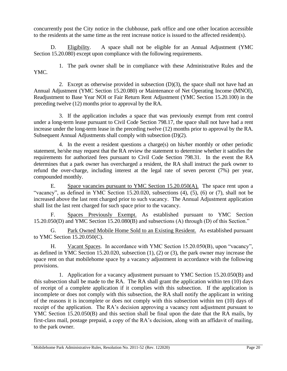concurrently post the City notice in the clubhouse, park office and one other location accessible to the residents at the same time as the rent increase notice is issued to the affected resident(s).

D. Eligibility. A space shall not be eligible for an Annual Adjustment (YMC Section 15.20.080) except upon compliance with the following requirements.

1. The park owner shall be in compliance with these Administrative Rules and the YMC*.*

2. Except as otherwise provided in subsection (D)(3), the space shall not have had an Annual Adjustment (YMC Section 15.20.080) or Maintenance of Net Operating Income (MNOI), Readjustment to Base Year NOI or Fair Return Rent Adjustment (YMC Section 15.20.100) in the preceding twelve (12) months prior to approval by the RA.

3. If the application includes a space that was previously exempt from rent control under a long-term lease pursuant to Civil Code Section 798.17, the space shall not have had a rent increase under the long-term lease in the preceding twelve (12) months prior to approval by the RA. Subsequent Annual Adjustments shall comply with subsection (D)(2).

4. In the event a resident questions a charge(s) on his/her monthly or other periodic statement, he/she may request that the RA review the statement to determine whether it satisfies the requirements for authorized fees pursuant to Civil Code Section 798.31. In the event the RA determines that a park owner has overcharged a resident, the RA shall instruct the park owner to refund the over-charge, including interest at the legal rate of seven percent (7%) per year, compounded monthly.

E. Space vacancies pursuant to YMC Section 15.20.050(A). The space rent upon a "vacancy", as defined in YMC Section 15.20.020, subsections (4), (5), (6) or (7), shall not be increased above the last rent charged prior to such vacancy. The Annual Adjustment application shall list the last rent charged for such space prior to the vacancy.

F. Spaces Previously Exempt. As established pursuant to YMC Section 15.20.050(D) and YMC Section 15.20.080(B) and subsections (A) through (D) of this Section."

G. Park Owned Mobile Home Sold to an Existing Resident. As established pursuant to YMC Section 15.20.050(C).

H. Vacant Spaces. In accordance with YMC Section 15.20.050(B), upon "vacancy", as defined in YMC Section 15.20.020, subsection (1), (2) or (3), the park owner may increase the space rent on that mobilehome space by a vacancy adjustment in accordance with the following provisions.

1. Application for a vacancy adjustment pursuant to YMC Section 15.20.050(B) and this subsection shall be made to the RA. The RA shall grant the application within ten (10) days of receipt of a complete application if it complies with this subsection. If the application is incomplete or does not comply with this subsection, the RA shall notify the applicant in writing of the reasons it is incomplete or does not comply with this subsection within ten (10) days of receipt of the application. The RA's decision approving a vacancy rent adjustment pursuant to YMC Section 15.20.050(B) and this section shall be final upon the date that the RA mails, by first-class mail, postage prepaid, a copy of the RA's decision, along with an affidavit of mailing, to the park owner.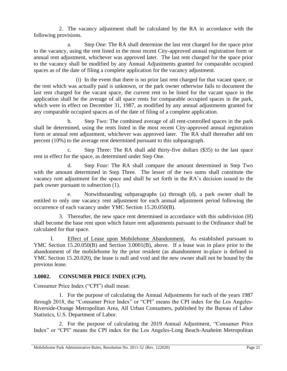2. The vacancy adjustment shall be calculated by the RA in accordance with the following provisions.

a. Step One: The RA shall determine the last rent charged for the space prior to the vacancy, using the rent listed in the most recent City-approved annual registration form or annual rent adjustment, whichever was approved later. The last rent charged for the space prior to the vacancy shall be modified by any Annual Adjustments granted for comparable occupied spaces as of the date of filing a complete application for the vacancy adjustment.

(i) In the event that there is no prior last rent charged for that vacant space, or the rent which was actually paid is unknown, or the park owner otherwise fails to document the last rent charged for the vacant space, the current rent to be listed for the vacant space in the application shall be the average of all space rents for comparable occupied spaces in the park, which were in effect on December 31, 1987, as modified by any annual adjustments granted for any comparable occupied spaces as of the date of filing of a complete application.

b. Step Two: The combined average of all rent-controlled spaces in the park shall be determined, using the rents listed in the most recent City-approved annual registration form or annual rent adjustment, whichever was approved later. The RA shall thereafter add ten percent (10%) to the average rent determined pursuant to this subparagraph.

c. Step Three: The RA shall add thirty-five dollars (\$35) to the last space rent in effect for the space, as determined under Step One.

d. Step Four: The RA shall compare the amount determined in Step Two with the amount determined in Step Three. The lesser of the two sums shall constitute the vacancy rent adjustment for the space and shall be set forth in the RA's decision issued to the park owner pursuant to subsection (1).

e. Notwithstanding subparagraphs (a) through (d), a park owner shall be entitled to only one vacancy rent adjustment for each annual adjustment period following the occurrence of each vacancy under YMC Section 15.20.050(B).

3. Thereafter, the new space rent determined in accordance with this subdivision (H) shall become the base rent upon which future rent adjustments pursuant to the Ordinance shall be calculated for that space.

I. Effect of Lease upon Mobilehome Abandonment. As established pursuant to YMC Section 15.20.050(B) and Section 3.0001(B), above. If a lease was in place prior to the abandonment of the mobilehome by the prior resident (as abandonment in-place is defined in YMC Section 15.20.020), the lease is null and void and the new owner shall not be bound by the previous lease.

## <span id="page-25-0"></span>**3.0002. CONSUMER PRICE INDEX (CPI).**

Consumer Price Index ("CPI") shall mean:

1. For the purpose of calculating the Annual Adjustments for each of the years 1987 through 2018, the "Consumer Price Index" or "CPI" means the CPI index for the Los Angeles-Riverside-Orange Metropolitan Area, All Urban Consumers, published by the Bureau of Labor Statistics, U.S. Department of Labor.

2. For the purpose of calculating the 2019 Annual Adjustment, "Consumer Price Index" or "CPI" means the CPI index for the Los Angeles-Long Beach-Anaheim Metropolitan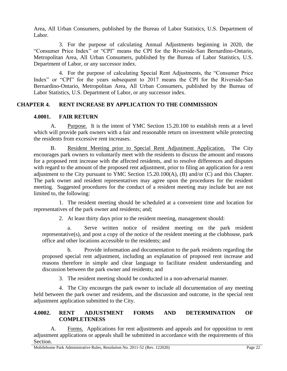Area, All Urban Consumers, published by the Bureau of Labor Statistics, U.S. Department of Labor.

3. For the purpose of calculating Annual Adjustments beginning in 2020, the "Consumer Price Index" or "CPI" means the CPI for the Riverside-San Bernardino-Ontario, Metropolitan Area, All Urban Consumers, published by the Bureau of Labor Statistics, U.S. Department of Labor, or any successor index.

4. For the purpose of calculating Special Rent Adjustments, the "Consumer Price Index" or "CPI" for the years subsequent to 2017 means the CPI for the Riverside-San Bernardino-Ontario, Metropolitan Area, All Urban Consumers, published by the Bureau of Labor Statistics, U.S. Department of Labor, or any successor index.

#### **CHAPTER 4. RENT INCREASE BY APPLICATION TO THE COMMISSION**

#### <span id="page-26-1"></span><span id="page-26-0"></span>**4.0001. FAIR RETURN**

A. Purpose. It is the intent of YMC Section 15.20.100 to establish rents at a level which will provide park owners with a fair and reasonable return on investment while protecting the residents from excessive rent increases.

B. Resident Meeting prior to Special Rent Adjustment Application. The City encourages park owners to voluntarily meet with the residents to discuss the amount and reasons for a proposed rent increase with the affected residents, and to resolve differences and disputes with regard to the amount of the proposed rent adjustment, prior to filing an application for a rent adjustment to the City pursuant to YMC Section 15.20.100(A), (B) and/or (C) and this Chapter. The park owner and resident representatives may agree upon the procedures for the resident meeting. Suggested procedures for the conduct of a resident meeting may include but are not limited to, the following:

1. The resident meeting should be scheduled at a convenient time and location for representatives of the park owner and residents; and;

2. At least thirty days prior to the resident meeting, management should:

a. Serve written notice of resident meeting on the park resident representative(s), and post a copy of the notice of the resident meeting at the clubhouse, park office and other locations accessible to the residents; and

b. Provide information and documentation to the park residents regarding the proposed special rent adjustment, including an explanation of proposed rent increase and reasons therefore in simple and clear language to facilitate resident understanding and discussion between the park owner and residents; and

3. The resident meeting should be conducted in a non-adversarial manner.

4. The City encourges the park owner to include all documentation of any meeting held between the park owner and residents, and the discussion and outcome, in the special rent adjustment application submitted to the City.

#### <span id="page-26-2"></span>**4.0002. RENT ADJUSTMENT FORMS AND DETERMINATION OF COMPLETENESS**

A. Forms. Applications for rent adjustments and appeals and for opposition to rent adjustment applications or appeals shall be submitted in accordance with the requirements of this Section.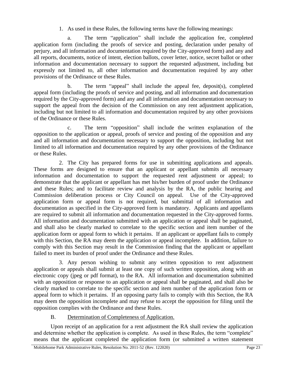1. As used in these Rules, the following terms have the following meanings:

a. The term "application" shall include the application fee, completed application form (including the proofs of service and posting, declaration under penalty of perjury, and all information and documentation required by the City-approved form) and any and all reports, documents, notice of intent, election ballots, cover letter, notice, secret ballot or other information and documentation necessary to support the requested adjustment, including but expressly not limited to, all other information and documentation required by any other provisions of the Ordinance or these Rules.

b. The term "appeal" shall include the appeal fee, deposit(s), completed appeal form (including the proofs of service and posting, and all information and documentation required by the City-approved form) and any and all information and documentation necessary to support the appeal from the decision of the Commission on any rent adjustment application, including but not limited to all information and documentation required by any other provisions of the Ordinance or these Rules.

c. The term "opposition" shall include the written explanation of the opposition to the application or appeal, proofs of service and posting of the opposition and any and all information and documentation necessary to support the opposition, including but not limited to all information and documentation required by any other provisions of the Ordinance or these Rules.

2. The City has prepared forms for use in submitting applications and appeals. These forms are designed to ensure that an applicant or appellant submits all necessary information and documentation to support the requested rent adjustment or appeal; to demonstrate that the applicant or appellant has met his/her burden of proof under the Ordinance and these Rules; and to facilitate review and analysis by the RA, the public hearing and Commission deliberation process or City Council on appeal. Use of the City-approved application form or appeal form is not required, but submittal of all information and documentation as specified in the City-approved form is mandatory. Applicants and appellants are required to submit all information and documentation requested in the City-approved forms. All information and documentation submitted with an application or appeal shall be paginated, and shall also be clearly marked to correlate to the specific section and item number of the application form or appeal form to which it pertains. If an applicant or appellant fails to comply with this Section, the RA may deem the application or appeal incomplete. In addition, failure to comply with this Section may result in the Commission finding that the applicant or appellant failed to meet its burden of proof under the Ordinance and these Rules.

3. Any person wishing to submit any written opposition to rent adjustment application or appeals shall submit at least one copy of such written opposition, along with an electronic copy (jpeg or pdf format), to the RA. All information and documentation submitted with an opposition or response to an application or appeal shall be paginated, and shall also be clearly marked to correlate to the specific section and item number of the application form or appeal form to which it pertains. If an opposing party fails to comply with this Section, the RA may deem the opposition incomplete and may refuse to accept the opposition for filing until the opposition complies with the Ordinance and these Rules.

## B. Determination of Completeness of Application.

Upon receipt of an application for a rent adjustment the RA shall review the application and determine whether the application is complete. As used in these Rules, the term "complete" means that the applicant completed the application form (or submitted a written statement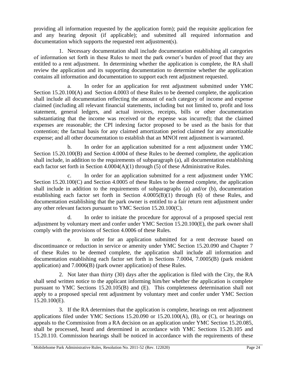providing all information requested by the application form); paid the requisite application fee and any hearing deposit (if applicable); and submitted all required information and documentation which supports the requested rent adjustment(s).

1. Necessary documentation shall include documentation establishing all categories of information set forth in these Rules to meet the park owner's burden of proof that they are entitled to a rent adjustment. In determining whether the application is complete, the RA shall review the application and its supporting documentation to determine whether the application contains all information and documentation to support each rent adjustment requested.

In order for an application for rent adjustment submitted under YMC Section 15.20.100(A) and Section 4.0003 of these Rules to be deemed complete, the application shall include all documentation reflecting the amount of each category of income and expense claimed (including all relevant financial statements, including but not limited to, profit and loss statement, general ledgers, and actual invoices, receipts, bills or other documentation substantiating that the income was received or the expense was incurred); that the claimed expenses are reasonable; the CPI indexing factor proposed to be used as the basis for that contention; the factual basis for any claimed amortization period claimed for any amortizable expense; and all other documentation to establish that an MNOI rent adjustment is warranted.

b. In order for an application submitted for a rent adjustment under YMC Section 15.20.100(B) and Section 4.0004 of these Rules to be deemed complete, the application shall include, in addition to the requirements of subparagraph (a), all documentation establishing each factor set forth in Section 4.0004(A)(1) through (5) of these Administrative Rules.

c. In order for an application submitted for a rent adjustment under YMC Section 15.20.100(C) and Section 4.0005 of these Rules to be deemed complete, the application shall include in addition to the requirements of subparagraphs (a) and/or (b), documentation establishing each factor set forth in Section 4.0005(B)(1) through (6) of these Rules, and documentation establishing that the park owner is entitled to a fair return rent adjustment under any other relevant factors pursuant to YMC Section 15.20.100(C).

d. In order to initiate the procedure for approval of a proposed special rent adjustment by voluntary meet and confer under YMC Section 15.20.100(E), the park owner shall comply with the provisions of Section 4.0006 of these Rules.

e. In order for an application submitted for a rent decrease based on discontinuance or reduction in service or amenity under YMC Section 15.20.090 and Chapter 7 of these Rules to be deemed complete, the application shall include all information and documentation establishing each factor set forth in Sections 7.0004, 7.0005(B) (park resident application) and 7.0006(B) (park owner application) of these Rules.

2. Not later than thirty (30) days after the application is filed with the City, the RA shall send written notice to the applicant informing him/her whether the application is complete pursuant to YMC Sections 15.20.105(B) and (E). This completeness determination shall not apply to a proposed special rent adjustment by voluntary meet and confer under YMC Section 15.20.100(E).

3. If the RA determines that the application is complete, hearings on rent adjustment applications filed under YMC Sections  $15.20.090$  or  $15.20.100(A)$ , (B), or (C), or hearings on appeals to the Commission from a RA decision on an application under YMC Section 15.20.085, shall be processed, heard and determined in accordance with YMC Sections 15.20.105 and 15.20.110. Commission hearings shall be noticed in accordance with the requirements of these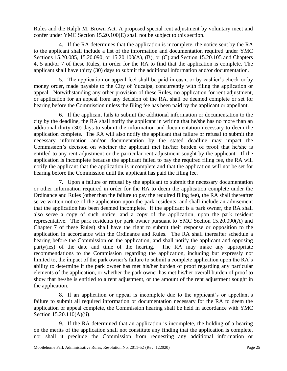Rules and the Ralph M. Brown Act. A proposed special rent adjustment by voluntary meet and confer under YMC Section 15.20.100(E) shall not be subject to this section.

4. If the RA determines that the application is incomplete, the notice sent by the RA to the applicant shall include a list of the information and documentation required under YMC Sections 15.20.085, 15.20.090, or 15.20.100(A), (B), or (C) and Section 15.20.105 and Chapters 4, 5 and/or 7 of these Rules, in order for the RA to find that the application is complete. The applicant shall have thirty (30) days to submit the additional information and/or documentation.

5. The application or appeal feel shall be paid in cash, or by cashier's check or by money order, made payable to the City of Yucaipa, concurrently with filing the application or appeal. Notwithstanding any other provision of these Rules, no application for rent adjustment, or application for an appeal from any decision of the RA, shall be deemed complete or set for hearing before the Commission unless the filing fee has been paid by the applicant or appellant.

6. If the applicant fails to submit the additional information or documentation to the city by the deadline, the RA shall notify the applicant in writing that he/she has no more than an additional thirty (30) days to submit the information and documentation necessary to deem the application complete. The RA will also notify the applicant that failure or refusal to submit the necessary information and/or documentation by the stated deadline may impact the Commission's decision on whether the applicant met his/her burden of proof that he/she is entitled to any rent adjustment or the particular rent adjustment sought by the applicant. If the application is incomplete because the applicant failed to pay the required filing fee, the RA will notify the applicant that the application is incomplete and that the application will not be set for hearing before the Commission until the applicant has paid the filing fee.

7. Upon a failure or refusal by the applicant to submit the necessary documentation or other information required in order for the RA to deem the application complete under the Ordinance and Rules (other than the failure to pay the required filing fee), the RA shall thereafter serve written notice of the application upon the park residents, and shall include an advisement that the application has been deemed incomplete. If the applicant is a park owner, the RA shall also serve a copy of such notice, and a copy of the application, upon the park resident representative. The park residents (or park owner pursuant to YMC Section 15.20.090(A) and Chapter 7 of these Rules) shall have the right to submit their response or opposition to the application in accordance with the Ordinance and Rules. The RA shall thereafter schedule a hearing before the Commission on the application, and shall notify the applicant and opposing party(ies) of the date and time of the hearing. The RA may make any appropriate recommendations to the Commission regarding the application, including but expressly not limited to, the impact of the park owner's failure to submit a complete application upon the RA's ability to determine if the park owner has met his/her burden of proof regarding any particular elements of the application, or whether the park owner has met his/her overall burden of proof to show that he/she is entitled to a rent adjustment, or the amount of the rent adjustment sought in the application.

8. If an application or appeal is incomplete due to the applicant's or appellant's failure to submit all required information or documentation necessary for the RA to deem the application or appeal complete, the Commission hearing shall be held in accordance with YMC Section 15.20.110(A)(ii).

9. If the RA determined that an application is incomplete, the holding of a hearing on the merits of the application shall not constitute any finding that the application is complete, nor shall it preclude the Commission from requesting any additional information or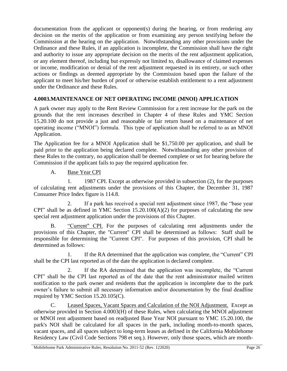documentation from the applicant or opponent(s) during the hearing, or from rendering any decision on the merits of the application or from examining any person testifying before the Commission at the hearing on the application. Notwithstanding any other provisions under the Ordinance and these Rules, if an application is incomplete, the Commission shall have the right and authority to issue any appropriate decision on the merits of the rent adjustment application, or any element thereof, including but expressly not limited to, disallowance of claimed expenses or income, modification or denial of the rent adjustment requested in its entirety, or such other actions or findings as deemed appropriate by the Commission based upon the failure of the applicant to meet his/her burden of proof or otherwise establish entitlement to a rent adjustment under the Ordinance and these Rules.

## <span id="page-30-0"></span>**4.0003.MAINTENANCE OF NET OPERATING INCOME (MNOI) APPLICATION**

A park owner may apply to the Rent Review Commission for a rent increase for the park on the grounds that the rent increases described in Chapter 4 of these Rules and YMC Section 15.20.100 do not provide a just and reasonable or fair return based on a maintenance of net operating income ("MNOI") formula. This type of application shall be referred to as an MNOI Application.

The Application fee for a MNOI Application shall be \$1,750.00 per application, and shall be paid prior to the application being declared complete. Notwithstanding any other provision of these Rules to the contrary, no application shall be deemed complete or set for hearing before the Commission if the applicant fails to pay the required application fee.

## A. Base Year CPI

1. 1987 CPI. Except as otherwise provided in subsection (2), for the purposes of calculating rent adjustments under the provisions of this Chapter, the December 31, 1987 Consumer Price Index figure is 114.8.

2. If a park has received a special rent adjustment since 1987, the "base year CPI" shall be as defined in YMC Section  $15.20.100(A)(2)$  for purposes of calculating the new special rent adjustment application under the provisions of this Chapter.

B. "Current" CPI. For the purposes of calculating rent adjustments under the provisions of this Chapter, the "Current" CPI shall be determined as follows: Staff shall be responsible for determining the "Current CPI". For purposes of this provision, CPI shall be determined as follows:

1. If the RA determined that the application was complete, the "Current" CPI shall be the CPI last reported as of the date the application is declared complete.

2. If the RA determined that the application was incomplete, the "Current CPI" shall be the CPI last reported as of the date that the rent administrator mailed written notification to the park owner and residents that the application is incomplete due to the park owner's failure to submit all necessary information and/or documentation by the final deadline required by YMC Section 15.20.105(C).

C. Leased Spaces, Vacant Spaces and Calculation of the NOI Adjustment. Except as otherwise provided in Section 4.0003(H) of these Rules, when calculating the MNOI adjustment or MNOI rent adjustment based on readjusted Base Year NOI pursuant to YMC 15.20.100, the park's NOI shall be calculated for all spaces in the park, including month-to-month spaces, vacant spaces, and all spaces subject to long-term leases as defined in the California Mobilehome Residency Law (Civil Code Sections 798 et seq.). However, only those spaces, which are month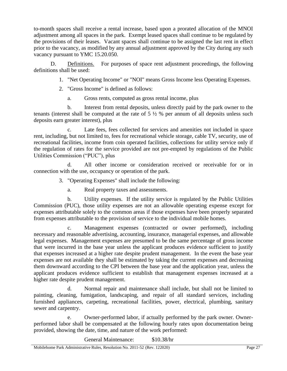to-month spaces shall receive a rental increase, based upon a prorated allocation of the MNOI adjustment among all spaces in the park. Exempt leased spaces shall continue to be regulated by the provisions of their leases. Vacant spaces shall continue to be assigned the last rent in effect prior to the vacancy, as modified by any annual adjustment approved by the City during any such vacancy pursuant to YMC 15.20.050.

D. Definitions. For purposes of space rent adjustment proceedings, the following definitions shall be used:

1. "Net Operating Income" or "NOI" means Gross Income less Operating Expenses.

- 2. "Gross Income" is defined as follows:
	- a. Gross rents, computed as gross rental income, plus

b. Interest from rental deposits, unless directly paid by the park owner to the tenants (interest shall be computed at the rate of  $5\frac{1}{2}$  % per annum of all deposits unless such deposits earn greater interest), plus

c. Late fees, fees collected for services and amenities not included in space rent, including, but not limited to, fees for recreational vehicle storage, cable TV, security, use of recreational facilities, income from coin operated facilities, collections for utility service only if the regulation of rates for the service provided are not pre-empted by regulations of the Public Utilities Commission ("PUC"), plus

d. All other income or consideration received or receivable for or in connection with the use, occupancy or operation of the park.

3. "Operating Expenses" shall include the following:

a. Real property taxes and assessments.

b. Utility expenses. If the utility service is regulated by the Public Utilities Commission (PUC), those utility expenses are not an allowable operating expense except for expenses attributable solely to the common areas if those expenses have been properly separated from expenses attributable to the provision of service to the individual mobile homes.

c. Management expenses (contracted or owner performed), including necessary and reasonable advertising, accounting, insurance, managerial expenses, and allowable legal expenses. Management expenses are presumed to be the same percentage of gross income that were incurred in the base year unless the applicant produces evidence sufficient to justify that expenses increased at a higher rate despite prudent management. In the event the base year expenses are not available they shall be estimated by taking the current expenses and decreasing them downward according to the CPI between the base year and the application year, unless the applicant produces evidence sufficient to establish that management expenses increased at a higher rate despite prudent management.

d. Normal repair and maintenance shall include, but shall not be limited to painting, cleaning, fumigation, landscaping, and repair of all standard services, including furnished appliances, carpeting, recreational facilities, power, electrical, plumbing, sanitary sewer and carpentry.

e. Owner-performed labor, if actually performed by the park owner. Ownerperformed labor shall be compensated at the following hourly rates upon documentation being provided, showing the date, time, and nature of the work performed:

General Maintenance: \$10.38/hr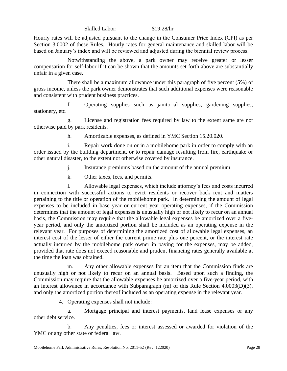#### Skilled Labor: \$19.28/hr

Hourly rates will be adjusted pursuant to the change in the Consumer Price Index (CPI) as per Section 3.0002 of these Rules. Hourly rates for general maintenance and skilled labor will be based on January's index and will be reviewed and adjusted during the biennial review process.

Notwithstanding the above, a park owner may receive greater or lesser compensation for self-labor if it can be shown that the amounts set forth above are substantially unfair in a given case.

There shall be a maximum allowance under this paragraph of five percent (5%) of gross income, unless the park owner demonstrates that such additional expenses were reasonable and consistent with prudent business practices.

f. Operating supplies such as janitorial supplies, gardening supplies, stationery, etc.

g. License and registration fees required by law to the extent same are not otherwise paid by park residents.

h. Amortizable expenses, as defined in YMC Section 15.20.020.

i. Repair work done on or in a mobilehome park in order to comply with an order issued by the building department, or to repair damage resulting from fire, earthquake or other natural disaster, to the extent not otherwise covered by insurance.

- j. Insurance premiums based on the amount of the annual premium.
- k. Other taxes, fees, and permits.

l. Allowable legal expenses, which include attorney's fees and costs incurred in connection with successful actions to evict residents or recover back rent and matters pertaining to the title or operation of the mobilehome park. In determining the amount of legal expenses to be included in base year or current year operating expenses, if the Commission determines that the amount of legal expenses is unusually high or not likely to recur on an annual basis, the Commission may require that the allowable legal expenses be amortized over a fiveyear period, and only the amortized portion shall be included as an operating expense in the relevant year. For purposes of determining the amortized cost of allowable legal expenses, an interest cost of the lesser of either the current prime rate plus one percent, or the interest rate actually incurred by the mobilehome park owner in paying for the expenses, may be added, provided that rate does not exceed reasonable and prudent financing rates generally available at the time the loan was obtained.

m. Any other allowable expenses for an item that the Commission finds are unusually high or not likely to recur on an annual basis. Based upon such a finding, the Commission may require that the allowable expenses be amortized over a five-year period, with an interest allowance in accordance with Subparagraph (m) of this Rule Section 4.0003(D)(3), and only the amortized portion thereof included as an operating expense in the relevant year.

4. Operating expenses shall not include:

a. Mortgage principal and interest payments, land lease expenses or any other debt service.

b. Any penalties, fees or interest assessed or awarded for violation of the YMC or any other state or federal law.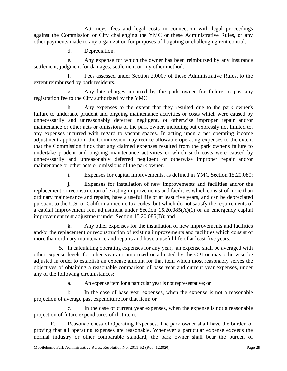c. Attorneys' fees and legal costs in connection with legal proceedings against the Commission or City challenging the YMC or these Administrative Rules, or any other payments made to any organization for purposes of litigating or challenging rent control.

d. Depreciation.

e. Any expense for which the owner has been reimbursed by any insurance settlement, judgment for damages, settlement or any other method.

f. Fees assessed under Section 2.0007 of these Administrative Rules, to the extent reimbursed by park residents.

g. Any late charges incurred by the park owner for failure to pay any registration fee to the City authorized by the YMC.

h. Any expenses to the extent that they resulted due to the park owner's failure to undertake prudent and ongoing maintenance activities or costs which were caused by unnecessarily and unreasonably deferred negligent, or otherwise improper repair and/or maintenance or other acts or omissions of the park owner, including but expressly not limited to, any expenses incurred with regard to vacant spaces. In acting upon a net operating income adjustment application, the Commission may reduce allowable operating expenses to the extent that the Commission finds that any claimed expenses resulted from the park owner's failure to undertake prudent and ongoing maintenance activities or which such costs were caused by unnecessarily and unreasonably deferred negligent or otherwise improper repair and/or maintenance or other acts or omissions of the park owner.

i. Expenses for capital improvements, as defined in YMC Section 15.20.080;

j. Expenses for installation of new improvements and facilities and/or the replacement or reconstruction of existing improvements and facilities which consist of more than ordinary maintenance and repairs, have a useful life of at least five years, and can be depreciated pursuant to the U.S. or California income tax codes, but which do not satisfy the requirements of a capital improvement rent adjustment under Section 15.20.085(A)(1) or an emergency capital improvement rent adjustment under Section 15.20.085(B); and

k. Any other expenses for the installation of new improvements and facilities and/or the replacement or reconstruction of existing improvements and facilities which consist of more than ordinary maintenance and repairs and have a useful life of at least five years.

5. In calculating operating expenses for any year, an expense shall be averaged with other expense levels for other years or amortized or adjusted by the CPI or may otherwise be adjusted in order to establish an expense amount for that item which most reasonably serves the objectives of obtaining a reasonable comparison of base year and current year expenses, under any of the following circumstances:

a. An expense item for a particular year is not representative; or

b. In the case of base year expenses, when the expense is not a reasonable projection of average past expenditure for that item; or

c. In the case of current year expenses, when the expense is not a reasonable projection of future expenditures of that item.

Reasonableness of Operating Expenses. The park owner shall have the burden of proving that all operating expenses are reasonable. Whenever a particular expense exceeds the normal industry or other comparable standard, the park owner shall bear the burden of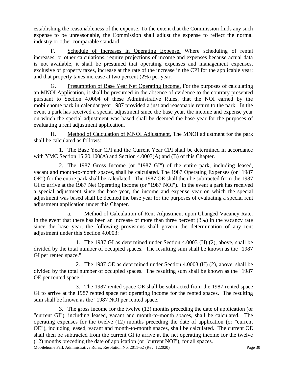establishing the reasonableness of the expense. To the extent that the Commission finds any such expense to be unreasonable, the Commission shall adjust the expense to reflect the normal industry or other comparable standard.

F. Schedule of Increases in Operating Expense. Where scheduling of rental increases, or other calculations, require projections of income and expenses because actual data is not available, it shall be presumed that operating expenses and management expenses, exclusive of property taxes, increase at the rate of the increase in the CPI for the applicable year; and that property taxes increase at two percent (2%) per year.

G. Presumption of Base Year Net Operating Income. For the purposes of calculating an MNOI Application, it shall be presumed in the absence of evidence to the contrary presented pursuant to Section 4.0004 of these Administrative Rules, that the NOI earned by the mobilehome park in calendar year 1987 provided a just and reasonable return to the park. In the event a park has received a special adjustment since the base year, the income and expense year on which the special adjustment was based shall be deemed the base year for the purposes of evaluating a rent adjustment application.

H. Method of Calculation of MNOI Adjustment. The MNOI adjustment for the park shall be calculated as follows:

1. The Base Year CPI and the Current Year CPI shall be determined in accordance with YMC Section 15.20.100(A) and Section 4.0003(A) and (B) of this Chapter.

2. The 1987 Gross Income (or "1987 GI") of the entire park, including leased, vacant and month-to-month spaces, shall be calculated. The 1987 Operating Expenses (or "1987 OE") for the entire park shall be calculated. The 1987 OE shall then be subtracted from the 1987 GI to arrive at the 1987 Net Operating Income (or "1987 NOI"). In the event a park has received a special adjustment since the base year, the income and expense year on which the special adjustment was based shall be deemed the base year for the purposes of evaluating a special rent adjustment application under this Chapter.

a. Method of Calculation of Rent Adjustment upon Changed Vacancy Rate. In the event that there has been an increase of more than three percent  $(3%)$  in the vacancy rate since the base year, the following provisions shall govern the determination of any rent adjustment under this Section 4.0003:

1. The 1987 GI as determined under Section 4.0003 (H) (2), above, shall be divided by the total number of occupied spaces. The resulting sum shall be known as the "1987 GI per rented space."

2. The 1987 OE as determined under Section 4.0003 (H) (2), above, shall be divided by the total number of occupied spaces. The resulting sum shall be known as the "1987 OE per rented space."

3. The 1987 rented space OE shall be subtracted from the 1987 rented space GI to arrive at the 1987 rented space net operating income for the rented spaces. The resulting sum shall be known as the "1987 NOI per rented space."

3. The gross income for the twelve (12) months preceding the date of application (or "current GI"), including leased, vacant and month-to-month spaces, shall be calculated. The operating expenses for the twelve (12) months preceding the date of application (or "current OE"), including leased, vacant and month-to-month spaces, shall be calculated. The current OE shall then be subtracted from the current GI to arrive at the net operating income for the twelve (12) months preceding the date of application (or "current NOI"), for all spaces.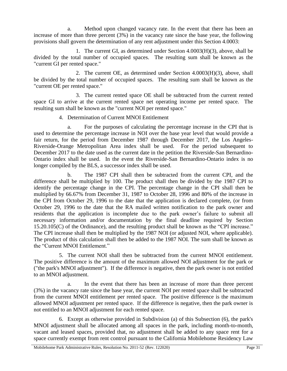a. Method upon changed vacancy rate. In the event that there has been an increase of more than three percent (3%) in the vacancy rate since the base year, the following provisions shall govern the determination of any rent adjustment under this Section 4.0003:

1. The current GI, as determined under Section 4.0003(H)(3), above, shall be divided by the total number of occupied spaces. The resulting sum shall be known as the "current GI per rented space."

2. The current OE, as determined under Section 4.0003(H)(3), above, shall be divided by the total number of occupied spaces. The resulting sum shall be known as the "current OE per rented space."

3. The current rented space OE shall be subtracted from the current rented space GI to arrive at the current rented space net operating income per rented space. The resulting sum shall be known as the "current NOI per rented space."

#### 4. Determination of Current MNOI Entitlement

a. For the purposes of calculating the percentage increase in the CPI that is used to determine the percentage increase in NOI over the base year level that would provide a fair return, for the period from December 1987 through December 2017, the Los Angeles-Riverside-Orange Metropolitan Area index shall be used. For the period subsequent to December 2017 to the date used as the current date in the petition the Riverside-San Bernardino-Ontario index shall be used. In the event the Riverside-San Bernardino-Ontario index is no longer compiled by the BLS, a successor index shall be used.

b. The 1987 CPI shall then be subtracted from the current CPI, and the difference shall be multiplied by 100. The product shall then be divided by the 1987 CPI to identify the percentage change in the CPI. The percentage change in the CPI shall then be multiplied by 66.67% from December 31, 1987 to October 28, 1996 and 80% of the increase in the CPI from October 29, 1996 to the date that the application is declared complete, (or from October 29, 1996 to the date that the RA mailed written notification to the park owner and residents that the application is incomplete due to the park owner's failure to submit all necessary information and/or documentation by the final deadline required by Section 15.20.105(C) of the Ordinance), and the resulting product shall be known as the "CPI increase." The CPI increase shall then be multiplied by the 1987 NOI (or adjusted NOI, where applicable). The product of this calculation shall then be added to the 1987 NOI. The sum shall be known as the "Current MNOI Entitlement."

5. The current NOI shall then be subtracted from the current MNOI entitlement. The positive difference is the amount of the maximum allowed NOI adjustment for the park or ("the park's MNOI adjustment"). If the difference is negative, then the park owner is not entitled to an MNOI adjustment.

a. In the event that there has been an increase of more than three percent (3%) in the vacancy rate since the base year, the current NOI per rented space shall be subtracted from the current MNOI entitlement per rented space. The positive difference is the maximum allowed MNOI adjustment per rented space. If the difference is negative, then the park owner is not entitled to an MNOI adjustment for each rented space.

6. Except as otherwise provided in Subdivision (a) of this Subsection (6), the park's MNOI adjustment shall be allocated among all spaces in the park, including month-to-month, vacant and leased spaces, provided that, no adjustment shall be added to any space rent for a space currently exempt from rent control pursuant to the California Mobilehome Residency Law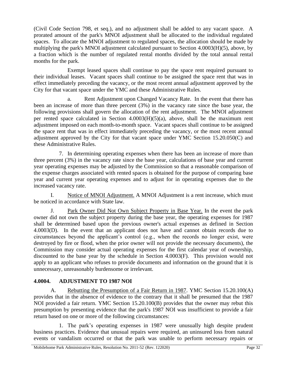(Civil Code Section 798, et seq.), and no adjustment shall be added to any vacant space. A prorated amount of the park's MNOI adjustment shall be allocated to the individual regulated spaces. To allocate the MNOI adjustment to regulated spaces, the allocation should be made by multiplying the park's MNOI adjustment calculated pursuant to Section 4.0003(H)(5), above, by a fraction which is the number of regulated rental months divided by the total annual rental months for the park.

Exempt leased spaces shall continue to pay the space rent required pursuant to their individual leases. Vacant spaces shall continue to be assigned the space rent that was in effect immediately preceding the vacancy, or the most recent annual adjustment approved by the City for that vacant space under the YMC and these Administrative Rules.

a. Rent Adjustment upon Changed Vacancy Rate. In the event that there has been an increase of more than three percent (3%) in the vacancy rate since the base year, the following provisions shall govern the allocation of the rent adjustment. The MNOI adjustment per rented space calculated in Section 4.0003(H)(5)(a), above, shall be the maximum rent adjustment imposed on each month-to-month space. Vacant spaces shall continue to be assigned the space rent that was in effect immediately preceding the vacancy, or the most recent annual adjustment approved by the City for that vacant space under YMC Section 15.20.050(C) and these Administrative Rules.

7. In determining operating expenses when there has been an increase of more than three percent (3%) in the vacancy rate since the base year, calculations of base year and current year operating expenses may be adjusted by the Commission so that a reasonable comparison of the expense charges associated with rented spaces is obtained for the purpose of comparing base year and current year operating expenses and to adjust for in operating expenses due to the increased vacancy rate.

I. Notice of MNOI Adjustment. A MNOI Adjustment is a rent increase, which must be noticed in accordance with State law.

J. Park Owner Did Not Own Subject Property in Base Year. In the event the park owner did not own the subject property during the base year, the operating expenses for 1987 shall be determined based upon the previous owner's actual expenses as defined in Section 4.0003(D). In the event that an applicant does not have and cannot obtain records due to circumstances beyond the applicant's control (e.g., when the records no longer exist, were destroyed by fire or flood, when the prior owner will not provide the necessary documents), the Commission may consider actual operating expenses for the first calendar year of ownership, discounted to the base year by the schedule in Section 4.0003(F). This provision would not apply to an applicant who refuses to provide documents and information on the ground that it is unnecessary, unreasonably burdensome or irrelevant.

## <span id="page-36-0"></span>**4.0004. ADJUSTMENT TO 1987 NOI**

A. Rebutting the Presumption of a Fair Return in 1987. YMC Section 15.20.100(A) provides that in the absence of evidence to the contrary that it shall be presumed that the 1987 NOI provided a fair return. YMC Section 15.20.100(B) provides that the owner may rebut this presumption by presenting evidence that the park's 1987 NOI was insufficient to provide a fair return based on one or more of the following circumstances:

1. The park's operating expenses in 1987 were unusually high despite prudent business practices. Evidence that unusual repairs were required, an uninsured loss from natural events or vandalism occurred or that the park was unable to perform necessary repairs or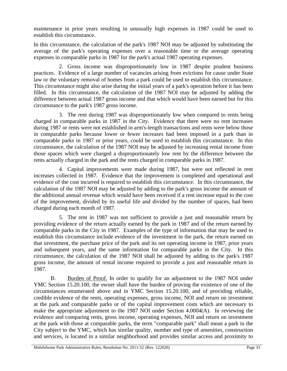maintenance in prior years resulting in unusually high expenses in 1987 could be used to establish this circumstance.

In this circumstance, the calculation of the park's 1987 NOI may be adjusted by substituting the average of the park's operating expenses over a reasonable time or the average operating expenses in comparable parks in 1987 for the park's actual 1987 operating expenses.

2. Gross income was disproportionately low in 1987 despite prudent business practices. Evidence of a large number of vacancies arising from evictions for cause under State law or the voluntary removal of homes from a park could be used to establish this circumstance. This circumstance might also arise during the initial years of a park's operation before it has been filled. In this circumstance, the calculation of the 1987 NOI may be adjusted by adding the difference between actual 1987 gross income and that which would have been earned but for this circumstance to the park's 1987 gross income.

3. The rent during 1987 was disproportionately low when compared to rents being charged in comparable parks in 1987 in the City. Evidence that there were no rent increases during 1987 or rents were not established in arm's-length transactions and rents were below those in comparable parks because lower or fewer increases had been imposed in a park than in comparable parks in 1987 or prior years, could be used to establish this circumstance. In this circumstance, the calculation of the 1987 NOI may be adjusted by increasing rental income from those spaces which were charged a disproportionately low rent by the difference between the rents actually charged in the park and the rents charged in comparable parks in 1987.

4. Capital improvements were made during 1987, but were not reflected in rent increases collected in 1987. Evidence that the improvement is completed and operational and evidence of the cost incurred is required to establish this circumstance. In this circumstance, the calculation of the 1987 NOI may be adjusted by adding to the park's gross income the amount of the additional annual revenue which would have been received if a rent increase equal to the cost of the improvement, divided by its useful life and divided by the number of spaces, had been charged during each month of 1987.

5. The rent in 1987 was not sufficient to provide a just and reasonable return by providing evidence of the return actually earned by the park in 1987 and of the return earned by comparable parks in the City in 1987. Examples of the type of information that may be used to establish this circumstance include evidence of the investment in the park, the return earned on that investment, the purchase price of the park and its net operating income in 1987, prior years and subsequent years, and the same information for comparable parks in the City. In this circumstance, the calculation of the 1987 NOI shall be adjusted by adding to the park's 1987 gross income, the amount of rental income required to provide a just and reasonable return in 1987.

B. Burden of Proof. In order to qualify for an adjustment to the 1987 NOI under YMC Section 15.20.100, the owner shall have the burden of proving the existence of one of the circumstances enumerated above and in YMC Section 15.20.100, and of providing reliable, credible evidence of the rents, operating expenses, gross income, NOI and return on investment at the park and comparable parks or of the capital improvement costs which are necessary to make the appropriate adjustment to the 1987 NOI under Section 4.0004(A). In reviewing the evidence and comparing rents, gross income, operating expenses, NOI and return on investment at the park with those at comparable parks, the term "comparable park" shall mean a park in the City subject to the YMC, which has similar quality, number and type of amenities, construction and services, is located in a similar neighborhood and provides similar access and proximity to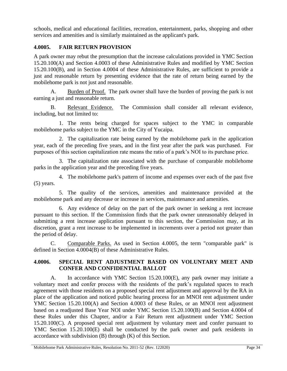schools, medical and educational facilities, recreation, entertainment, parks, shopping and other services and amenities and is similarly maintained as the applicant's park.

### <span id="page-38-0"></span>**4.0005. FAIR RETURN PROVISION**

A park owner may rebut the presumption that the increase calculations provided in YMC Section 15.20.100(A) and Section 4.0003 of these Administrative Rules and modified by YMC Section 15.20.100(B), and in Section 4.0004 of these Administrative Rules, are sufficient to provide a just and reasonable return by presenting evidence that the rate of return being earned by the mobilehome park is not just and reasonable.

A. Burden of Proof. The park owner shall have the burden of proving the park is not earning a just and reasonable return.

B. Relevant Evidence. The Commission shall consider all relevant evidence, including, but not limited to:

1. The rents being charged for spaces subject to the YMC in comparable mobilehome parks subject to the YMC in the City of Yucaipa.

2. The capitalization rate being earned by the mobilehome park in the application year, each of the preceding five years, and in the first year after the park was purchased. For purposes of this section capitalization rate means the ratio of a park's NOI to its purchase price.

3. The capitalization rate associated with the purchase of comparable mobilehome parks in the application year and the preceding five years.

4. The mobilehome park's pattern of income and expenses over each of the past five (5) years.

5. The quality of the services, amenities and maintenance provided at the mobilehome park and any decrease or increase in services, maintenance and amenities.

6. Any evidence of delay on the part of the park owner in seeking a rent increase pursuant to this section. If the Commission finds that the park owner unreasonably delayed in submitting a rent increase application pursuant to this section, the Commission may, at its discretion, grant a rent increase to be implemented in increments over a period not greater than the period of delay.

C. Comparable Parks. As used in Section 4.0005, the term "comparable park" is defined in Section 4.0004(B) of these Administrative Rules.

#### <span id="page-38-1"></span>**4.0006. SPECIAL RENT ADJUSTMENT BASED ON VOLUNTARY MEET AND CONFER AND CONFIDENTIAL BALLOT**

A. In accordance with YMC Section 15.20.100(E), any park owner may initiate a voluntary meet and confer process with the residents of the park's regulated spaces to reach agreement with those residents on a proposed special rent adjustment and approval by the RA in place of the application and noticed public hearing process for an MNOI rent adjustment under YMC Section 15.20.100(A) and Section 4.0003 of these Rules, or an MNOI rent adjustment based on a readjusted Base Year NOI under YMC Section 15.20.100(B) and Section 4.0004 of these Rules under this Chapter, and/or a Fair Return rent adjustment under YMC Section 15.20.100(C). A proposed special rent adjustment by voluntary meet and confer pursuant to YMC Section 15.20.100(E) shall be conducted by the park owner and park residents in accordance with subdivision (B) through (K) of this Section.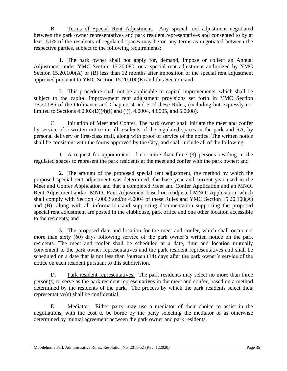B. Terms of Special Rent Adjustment. Any special rent adjustment negotiated between the park owner representatives and park resident representatives and consented to by at least 51% of the residents of regulated spaces may be on any terms as negotiated between the respective parties, subject to the following requirements:

1. The park owner shall not apply for, demand, impose or collect an Annual Adjustment under YMC Section 15.20.080, or a special rent adjustment authorized by YMC Section 15.20.100(A) or (B) less than 12 months after imposition of the special rent adjustment approved pursuant to YMC Section 15.20.100(E) and this Section; and

2. This procedure shall not be applicable to capital improvements, which shall be subject to the capital improvement rent adjustment provisions set forth in YMC Section 15.20.085 of the Ordinance and Chapters 4 and 5 of these Rules, (including but expressly not limited to Sections 4.0003(D)(4)(i) and (j)), 4.0004, 4.0005, and 5.0008).

C. Initiation of Meet and Confer. The park owner shall initiate the meet and confer by service of a written notice on all residents of the regulated spaces in the park and RA, by personal delivery or first-class mail, along with proof of service of the notice. The written notice shall be consistent with the form*s* approved by the City, and shall include all of the following:

1. A request for appointment of not more than three (3) persons residing in the regulated spaces to represent the park residents at the meet and confer with the park owner; and

2. The amount of the proposed special rent adjustment, the method by which the proposed special rent adjustment was determined, the base year and current year used in the Meet and Confer Application and that a completed Meet and Confer Application and an MNOI Rent Adjustment and/or MNOI Rent Adjustment based on readjusted MNOI Application, which shall comply with Section 4.0003 and/or 4.0004 of these Rules and YMC Section 15.20.100(A) and (B), along with all information and supporting documentation supporting the proposed special rent adjustment are posted in the clubhouse, park office and one other location accessible to the residents; and

3. The proposed date and location for the meet and confer, which shall occur not more than sixty (60) days following service of the park owner's written notice on the park residents. The meet and confer shall be scheduled at a date, time and location mutually convenient to the park owner representatives and the park resident representatives and shall be scheduled on a date that is not less than fourteen (14) days after the park owner's service of the notice on each resident pursuant to this subdivision.

D. Park resident representatives. The park residents may select no more than three person(s) to serve as the park resident representatives in the meet and confer, based on a method determined by the residents of the park. The process by which the park residents select their representative(s) shall be confidential.

E. Mediator. Either party may use a mediator of their choice to assist in the negotiations, with the cost to be borne by the party selecting the mediator or as otherwise determined by mutual agreement between the park owner and park residents.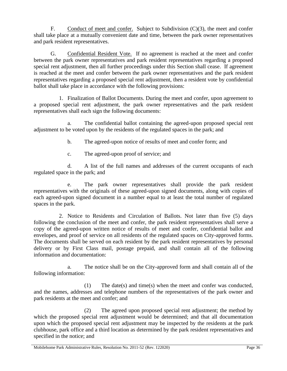F. Conduct of meet and confer. Subject to Subdivision (C)(3), the meet and confer shall take place at a mutually convenient date and time, between the park owner representatives and park resident representatives.

G. Confidential Resident Vote. If no agreement is reached at the meet and confer between the park owner representatives and park resident representatives regarding a proposed special rent adjustment, then all further proceedings under this Section shall cease. If agreement is reached at the meet and confer between the park owner representatives and the park resident representatives regarding a proposed special rent adjustment, then a resident vote by confidential ballot shall take place in accordance with the following provisions:

1. Finalization of Ballot Documents. During the meet and confer, upon agreement to a proposed special rent adjustment, the park owner representatives and the park resident representatives shall each sign the following documents:

a. The confidential ballot containing the agreed-upon proposed special rent adjustment to be voted upon by the residents of the regulated spaces in the park; and

b. The agreed-upon notice of results of meet and confer form; and

c. The agreed-upon proof of service; and

d. A list of the full names and addresses of the current occupants of each regulated space in the park; and

e. The park owner representatives shall provide the park resident representatives with the originals of these agreed-upon signed documents, along with copies of each agreed-upon signed document in a number equal to at least the total number of regulated spaces in the park.

2. Notice to Residents and Circulation of Ballots. Not later than five (5) days following the conclusion of the meet and confer, the park resident representatives shall serve a copy of the agreed-upon written notice of results of meet and confer, confidential ballot and envelopes, and proof of service on all residents of the regulated spaces on City-approved forms. The documents shall be served on each resident by the park resident representatives by personal delivery or by First Class mail, postage prepaid, and shall contain all of the following information and documentation:

a. The notice shall be on the City-approved form and shall contain all of the following information:

(1) The date(s) and time(s) when the meet and confer was conducted, and the names, addresses and telephone numbers of the representatives of the park owner and park residents at the meet and confer; and

(2) The agreed upon proposed special rent adjustment; the method by which the proposed special rent adjustment would be determined; and that all documentation upon which the proposed special rent adjustment may be inspected by the residents at the park clubhouse, park office and a third location as determined by the park resident representatives and specified in the notice; and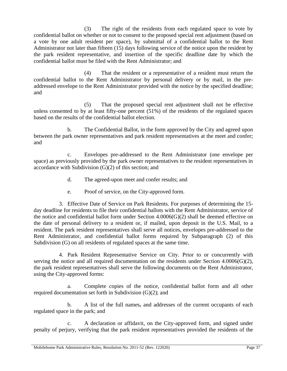(3) The right of the residents from each regulated space to vote by confidential ballot on whether or not to consent to the proposed special rent adjustment (based on a vote by one adult resident per space), by submittal of a confidential ballot to the Rent Administrator not later than fifteen (15) days following service of the notice upon the resident by the park resident representative, and insertion of the specific deadline date by which the confidential ballot must be filed with the Rent Administrator; and

(4) That the resident or a representative of a resident must return the confidential ballot to the Rent Administrator by personal delivery or by mail, in the preaddressed envelope to the Rent Administrator provided with the notice by the specified deadline; and

(5) That the proposed special rent adjustment shall not be effective unless consented to by at least fifty-one percent (51%) of the residents of the regulated spaces based on the results of the confidential ballot election.

b. The Confidential Ballot, in the form approved by the City and agreed upon between the park owner representatives and park resident representatives at the meet and confer; and

c. Envelopes pre-addressed to the Rent Administrator (one envelope per space) as previously provided by the park owner representatives to the resident representatives in accordance with Subdivision (G)(2) of this section; and

- d. The agreed-upon meet and confer results; and
- e. Proof of service, on the City-approved form.

3. Effective Date of Service on Park Residents. For purposes of determining the 15 day deadline for residents to file their confidential ballots with the Rent Administrator, service of the notice and confidential ballot form under Section 4.0006(G)(2) shall be deemed effective on the date of personal delivery to a resident or, if mailed, upon deposit in the U.S. Mail, to a resident. The park resident representatives shall serve all notices, envelopes pre-addressed to the Rent Administrator, and confidential ballot forms required by Subparagraph (2) of this Subdivision (G) on all residents of regulated spaces at the same time.

4. Park Resident Representative Service on City. Prior to or concurrently with serving the notice and all required documentation on the residents under Section 4.0006(G)(2), the park resident representatives shall serve the following documents on the Rent Administrator, using the City-approved forms:

a. Complete copies of the notice, confidential ballot form and all other required documentation set forth in Subdivision (G)(2); and

b. A list of the full names<sub> $\overline{5}$ </sub> and addresses of the current occupants of each regulated space in the park; and

A declaration or affidavit, on the City-approved form, and signed under penalty of perjury, verifying that the park resident representatives provided the residents of the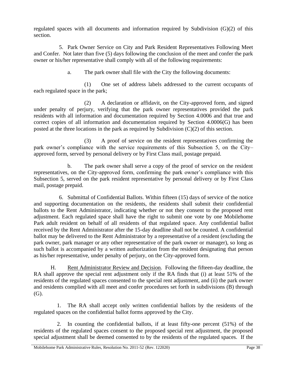regulated spaces with all documents and information required by Subdivision (G)(2) of this section.

5. Park Owner Service on City and Park Resident Representatives Following Meet and Confer. Not later than five (5) days following the conclusion of the meet and confer the park owner or his/her representative shall comply with all of the following requirements:

a. The park owner shall file with the City the following documents:

(1) One set of address labels addressed to the current occupants of each regulated space in the park;

(2) A declaration or affidavit, on the City-approved form, and signed under penalty of perjury, verifying that the park owner representatives provided the park residents with all information and documentation required by Section 4.0006 and that true and correct copies of all information and documentation required by Section 4.0006(G) has been posted at the three locations in the park as required by Subdivision (C)(2) of this section.

(3) A proof of service on the resident representatives confirming the park owner's compliance with the service requirements of this Subsection 5, on the City– approved form, served by personal delivery or by First Class mail, postage prepaid.

b. The park owner shall serve a copy of the proof of service on the resident representatives, on the City-approved form, confirming the park owner's compliance with this Subsection 5, served on the park resident representative by personal delivery or by First Class mail, postage prepaid.

6. Submittal of Confidential Ballots. Within fifteen (15) days of service of the notice and supporting documentation on the residents, the residents shall submit their confidential ballots to the Rent Administrator, indicating whether or not they consent to the proposed rent adjustment. Each regulated space shall have the right to submit one vote by one Mobilehome Park adult resident on behalf of all residents of that regulated space. Any confidential ballot received by the Rent Administrator after the 15-day deadline shall not be counted. A confidential ballot may be delivered to the Rent Administrator by a representative of a resident (excluding the park owner, park manager or any other representative of the park owner or manager), so long as such ballot is accompanied by a written authorization from the resident designating that person as his/her representative, under penalty of perjury, on the City-approved form.

H. Rent Administrator Review and Decision. Following the fifteen-day deadline, the RA shall approve the special rent adjustment only if the RA finds that (i) at least 51% of the residents of the regulated spaces consented to the special rent adjustment, and (ii) the park owner and residents complied with all meet and confer procedures set forth in subdivisions (B) through (G).

1. The RA shall accept only written confidential ballots by the residents of the regulated spaces on the confidential ballot forms approved by the City.

2. In counting the confidential ballots, if at least fifty-one percent (51%) of the residents of the regulated spaces consent to the proposed special rent adjustment, the proposed special adjustment shall be deemed consented to by the residents of the regulated spaces. If the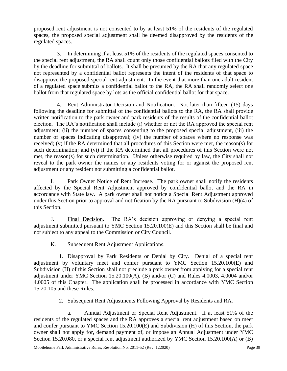proposed rent adjustment is not consented to by at least 51% of the residents of the regulated spaces, the proposed special adjustment shall be deemed disapproved by the residents of the regulated spaces.

3. In determining if at least 51% of the residents of the regulated spaces consented to the special rent adjustment, the RA shall count only those confidential ballots filed with the City by the deadline for submittal of ballots. It shall be presumed by the RA that any regulated space not represented by a confidential ballot represents the intent of the residents of that space to disapprove the proposed special rent adjustment. In the event that more than one adult resident of a regulated space submits a confidential ballot to the RA, the RA shall randomly select one ballot from that regulated space by lots as the official confidential ballot for that space.

4. Rent Administrator Decision and Notification. Not later than fifteen (15) days following the deadline for submittal of the confidential ballots to the RA, the RA shall provide written notification to the park owner and park residents of the results of the confidential ballot election. The RA's notification shall include (i) whether or not the RA approved the special rent adjustment; (ii) the number of spaces consenting to the proposed special adjustment, (iii) the number of spaces indicating disapproval; (iv) the number of spaces where no response was received; (v) if the RA determined that all procedures of this Section were met, the reason(s) for such determination; and (vi) if the RA determined that all procedures of this Section were not met, the reason(s) for such determination. Unless otherwise required by law, the City shall not reveal to the park owner the names or any residents voting for or against the proposed rent adjustment or any resident not submitting a confidential ballot.

I. Park Owner Notice of Rent Increase. The park owner shall notify the residents affected by the Special Rent Adjustment approved by confidential ballot and the RA in accordance with State law. A park owner shall not notice a Special Rent Adjustment approved under this Section prior to approval and notification by the RA pursuant to Subdivision (H)(4) of this Section.

J. Final Decision. The RA's decision approving or denying a special rent adjustment submitted pursuant to YMC Section 15.20.100(E) and this Section shall be final and not subject to any appeal to the Commission or City Council.

K. Subsequent Rent Adjustment Applications.

1. Disapproval by Park Residents or Denial by City. Denial of a special rent adjustment by voluntary meet and confer pursuant to YMC Section 15.20.100(E) and Subdivision (H) of this Section shall not preclude a park owner from applying for a special rent adjustment under YMC Section 15.20.100(A), (B) and/or (C) and Rules 4.0003, 4.0004 and/or 4.0005 of this Chapter. The application shall be processed in accordance with YMC Section 15.20.105 and these Rules.

2. Subsequent Rent Adjustments Following Approval by Residents and RA.

a. Annual Adjustment or Special Rent Adjustment. If at least 51% of the residents of the regulated spaces and the RA approves a special rent adjustment based on meet and confer pursuant to YMC Section 15.20.100(E) and Subdivision (H) of this Section, the park owner shall not apply for, demand payment of, or impose an Annual Adjustment under YMC Section 15.20.080, or a special rent adjustment authorized by YMC Section 15.20.100(A) or (B)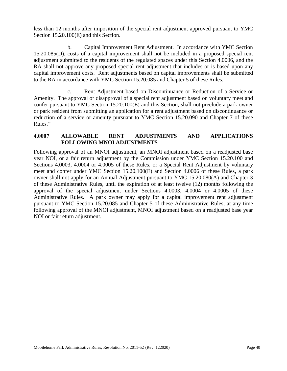less than 12 months after imposition of the special rent adjustment approved pursuant to YMC Section 15.20.100(E) and this Section.

b. Capital Improvement Rent Adjustment. In accordance with YMC Section 15.20.085(D), costs of a capital improvement shall not be included in a proposed special rent adjustment submitted to the residents of the regulated spaces under this Section 4.0006, and the RA shall not approve any proposed special rent adjustment that includes or is based upon any capital improvement costs. Rent adjustments based on capital improvements shall be submitted to the RA in accordance with YMC Section 15.20.085 and Chapter 5 of these Rules.

c. Rent Adjustment based on Discontinuance or Reduction of a Service or Amenity. The approval or disapproval of a special rent adjustment based on voluntary meet and confer pursuant to YMC Section 15.20.100(E) and this Section, shall not preclude a park owner or park resident from submitting an application for a rent adjustment based on discontinuance or reduction of a service or amenity pursuant to YMC Section 15.20.090 and Chapter 7 of these Rules."

#### <span id="page-44-0"></span>**4.0007 ALLOWABLE RENT ADJUSTMENTS AND APPLICATIONS FOLLOWING MNOI ADJUSTMENTS**

Following approval of an MNOI adjustment, an MNOI adjustment based on a readjusted base year NOI, or a fair return adjustment by the Commission under YMC Section 15.20.100 and Sections 4.0003, 4.0004 or 4.0005 of these Rules, or a Special Rent Adjustment by voluntary meet and confer under YMC Section 15.20.100(E) and Section 4.0006 of these Rules, a park owner shall not apply for an Annual Adjustment pursuant to YMC 15.20.080(A) and Chapter 3 of these Administrative Rules, until the expiration of at least twelve (12) months following the approval of the special adjustment under Sections 4.0003, 4.0004 or 4.0005 of these Administrative Rules. A park owner may apply for a capital improvement rent adjustment pursuant to YMC Section 15.20.085 and Chapter 5 of these Administrative Rules, at any time following approval of the MNOI adjustment, MNOI adjustment based on a readjusted base year NOI or fair return adjustment.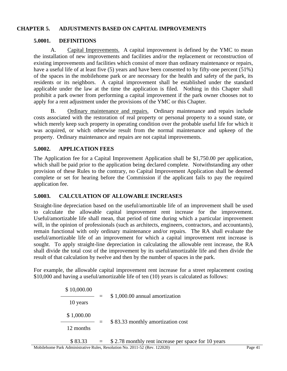#### **CHAPTER 5. ADJUSTMENTS BASED ON CAPITAL IMPROVEMENTS**

#### <span id="page-45-1"></span><span id="page-45-0"></span>**5.0001. DEFINITIONS**

A. Capital Improvements. A capital improvement is defined by the YMC to mean the installation of new improvements and facilities and/or the replacement or reconstruction of existing improvements and facilities which consist of more than ordinary maintenance or repairs, have a useful life of at least five (5) years and have been consented to by fifty-one percent (51%) of the spaces in the mobilehome park or are necessary for the health and safety of the park, its residents or its neighbors. A capital improvement shall be established under the standard applicable under the law at the time the application is filed. Nothing in this Chapter shall prohibit a park owner from performing a capital improvement if the park owner chooses not to apply for a rent adjustment under the provisions of the YMC or this Chapter.

B. Ordinary maintenance and repairs. Ordinary maintenance and repairs include costs associated with the restoration of real property or personal property to a sound state, or which merely keep such property in operating condition over the probable useful life for which it was acquired, or which otherwise result from the normal maintenance and upkeep of the property. Ordinary maintenance and repairs are not capital improvements.

#### <span id="page-45-2"></span>**5.0002. APPLICATION FEES**

The Application fee for a Capital Improvement Application shall be \$1,750.00 per application, which shall be paid prior to the application being declared complete. Notwithstanding any other provision of these Rules to the contrary, no Capital Improvement Application shall be deemed complete or set for hearing before the Commission if the applicant fails to pay the required application fee.

#### <span id="page-45-3"></span>**5.0003. CALCULATION OF ALLOWABLE INCREASES**

Straight-line depreciation based on the useful/amortizable life of an improvement shall be used to calculate the allowable capital improvement rent increase for the improvement. Useful/amortizable life shall mean, that period of time during which a particular improvement will, in the opinion of professionals (such as architects, engineers, contractors, and accountants), remain functional with only ordinary maintenance and/or repairs. The RA shall evaluate the useful/amortizable life of an improvement for which a capital improvement rent increase is sought. To apply straight-line depreciation in calculating the allowable rent increase, the RA shall divide the total cost of the improvement by its useful/amortizable life and then divide the result of that calculation by twelve and then by the number of spaces in the park.

For example, the allowable capital improvement rent increase for a street replacement costing \$10,000 and having a useful/amortizable life of ten (10) years is calculated as follows:

| \$10,000.00<br>10 years | \$1,000.00 annual amortization    |
|-------------------------|-----------------------------------|
| \$1,000.00<br>12 months | \$83.33 monthly amortization cost |

$$
$83.33 = $2.78
$$
 monthly rent increase per space for 10 years  
Doublehome Park Administrative Rules Resolution No 2011-52 (Rev 122020)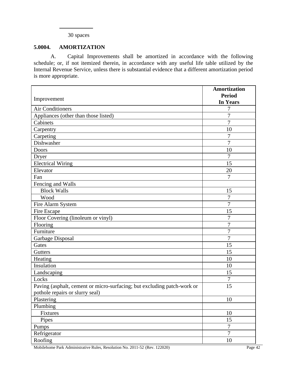#### 30 spaces

#### <span id="page-46-0"></span>**5.0004. AMORTIZATION**

A. Capital Improvements shall be amortized in accordance with the following schedule; or, if not itemized therein, in accordance with any useful life table utilized by the Internal Revenue Service, unless there is substantial evidence that a different amortization period is more appropriate.

|                                                                                                            | <b>Amortization</b><br><b>Period</b> |
|------------------------------------------------------------------------------------------------------------|--------------------------------------|
| Improvement                                                                                                | <b>In Years</b>                      |
| <b>Air Conditioners</b>                                                                                    | 7                                    |
| Appliances (other than those listed)                                                                       | 7                                    |
| Cabinets                                                                                                   | 7                                    |
| Carpentry                                                                                                  | 10                                   |
| Carpeting                                                                                                  | $\overline{7}$                       |
| Dishwasher                                                                                                 | $\overline{7}$                       |
| <b>Doors</b>                                                                                               | 10                                   |
| Dryer                                                                                                      | 7                                    |
| <b>Electrical Wiring</b>                                                                                   | 15                                   |
| Elevator                                                                                                   | 20                                   |
| Fan                                                                                                        | 7                                    |
| Fencing and Walls                                                                                          |                                      |
| <b>Block Walls</b>                                                                                         | 15                                   |
| Wood                                                                                                       | 7                                    |
| Fire Alarm System                                                                                          | $\overline{7}$                       |
| Fire Escape                                                                                                | 15                                   |
| Floor Covering (linoleum or vinyl)                                                                         | $\overline{7}$                       |
| Flooring                                                                                                   | 7                                    |
| Furniture                                                                                                  | $\overline{7}$                       |
| Garbage Disposal                                                                                           | $\overline{7}$                       |
| Gates                                                                                                      | 15                                   |
| Gutters                                                                                                    | 15                                   |
| Heating                                                                                                    | 10                                   |
| Insulation                                                                                                 | 10                                   |
| Landscaping                                                                                                | 15                                   |
| Locks                                                                                                      | $\overline{7}$                       |
| Paving (asphalt, cement or micro-surfacing; but excluding patch-work or<br>pothole repairs or slurry seal) | 15                                   |
| Plastering                                                                                                 | 10                                   |
| Plumbing                                                                                                   |                                      |
| Fixtures                                                                                                   | 10                                   |
| Pipes                                                                                                      | 15                                   |
| Pumps                                                                                                      | $\overline{7}$                       |
| Refrigerator                                                                                               | $\overline{7}$                       |
| Roofing                                                                                                    | $10\,$                               |

Mobilehome Park Administrative Rules, Resolution No. 2011-52 (Rev. 122020) Page 42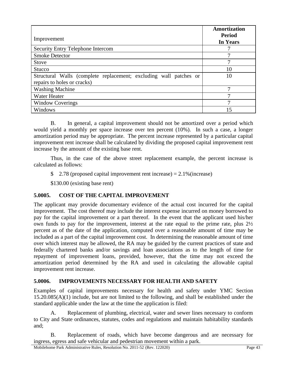| Improvement                                                                                      | Amortization<br><b>Period</b><br><b>In Years</b> |
|--------------------------------------------------------------------------------------------------|--------------------------------------------------|
| Security Entry Telephone Intercom                                                                |                                                  |
| <b>Smoke Detector</b>                                                                            |                                                  |
| <b>Stove</b>                                                                                     | ⇁                                                |
| Stucco                                                                                           | 10                                               |
| Structural Walls (complete replacement; excluding wall patches or<br>repairs to holes or cracks) | 10                                               |
| <b>Washing Machine</b>                                                                           | 7                                                |
| Water Heater                                                                                     |                                                  |
| <b>Window Coverings</b>                                                                          |                                                  |
| Windows                                                                                          | 15                                               |

B. In general, a capital improvement should not be amortized over a period which would yield a monthly per space increase over ten percent (10%). In such a case, a longer amortization period may be appropriate. The percent increase represented by a particular capital improvement rent increase shall be calculated by dividing the proposed capital improvement rent increase by the amount of the existing base rent.

Thus, in the case of the above street replacement example, the percent increase is calculated as follows:

 $\frac{2.78 \text{ (proposed capital improvement rent increase)}}{2.1\% \text{ (increase)}}$ 

\$130.00 (existing base rent)

## <span id="page-47-0"></span>**5.0005. COST OF THE CAPITAL IMPROVEMENT**

The applicant may provide documentary evidence of the actual cost incurred for the capital improvement. The cost thereof may include the interest expense incurred on money borrowed to pay for the capital improvement or a part thereof. In the event that the applicant used his/her own funds to pay for the improvement, interest at the rate equal to the prime rate, plus 2½ percent as of the date of the application, computed over a reasonable amount of time may be included as a part of the capital improvement cost. In determining the reasonable amount of time over which interest may be allowed, the RA may be guided by the current practices of state and federally chartered banks and/or savings and loan associations as to the length of time for repayment of improvement loans, provided, however, that the time may not exceed the amortization period determined by the RA and used in calculating the allowable capital improvement rent increase.

## <span id="page-47-1"></span>**5.0006. IMPROVEMENTS NECESSARY FOR HEALTH AND SAFETY**

Examples of capital improvements necessary for health and safety under YMC Section 15.20.085(A)(1) include, but are not limited to the following, and shall be established under the standard applicable under the law at the time the application is filed:

A. Replacement of plumbing, electrical, water and sewer lines necessary to conform to City and State ordinances, statutes, codes and regulations and maintain habitability standards and;

B. Replacement of roads, which have become dangerous and are necessary for ingress, egress and safe vehicular and pedestrian movement within a park.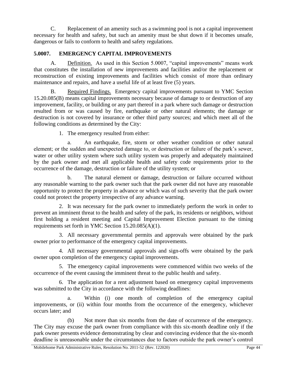C. Replacement of an amenity such as a swimming pool is not a capital improvement necessary for health and safety, but such an amenity must be shut down if it becomes unsafe, dangerous or fails to conform to health and safety regulations.

## <span id="page-48-0"></span>**5.0007. EMERGENCY CAPITAL IMPROVEMENTS**

A. Definition. As used in this Section 5.0007, "capital improvements" means work that constitutes the installation of new improvements and facilities and/or the replacement or reconstruction of existing improvements and facilities which consist of more than ordinary maintenance and repairs, and have a useful life of at least five (5) years.

B. Required Findings. Emergency capital improvements pursuant to YMC Section 15.20.085(B) means capital improvements necessary because of damage to or destruction of any improvement, facility, or building or any part thereof in a park where such damage or destruction resulted from or was caused by fire, earthquake or other natural elements; the damage or destruction is not covered by insurance or other third party sources; and which meet all of the following conditions as determined by the City:

1. The emergency resulted from either:

a. An earthquake, fire, storm or other weather condition or other natural element; or the sudden and unexpected damage to, or destruction or failure of the park's sewer, water or other utility system where such utility system was properly and adequately maintained by the park owner and met all applicable health and safety code requirements prior to the occurrence of the damage, destruction or failure of the utility system; or

b. The natural element or damage, destruction or failure occurred without any reasonable warning to the park owner such that the park owner did not have any reasonable opportunity to protect the property in advance or which was of such severity that the park owner could not protect the property irrespective of any advance warning.

2. It was necessary for the park owner to immediately perform the work in order to prevent an imminent threat to the health and safety of the park, its residents or neighbors, without first holding a resident meeting and Capital Improvement Election pursuant to the timing requirements set forth in YMC Section 15.20.085(A)(1).

3. All necessary governmental permits and approvals were obtained by the park owner prior to performance of the emergency capital improvements.

4. All necessary governmental approvals and sign-offs were obtained by the park owner upon completion of the emergency capital improvements.

5. The emergency capital improvements were commenced within two weeks of the occurrence of the event causing the imminent threat to the public health and safety.

6. The application for a rent adjustment based on emergency capital improvements was submitted to the City in accordance with the following deadlines:

a. Within (i) one month of completion of the emergency capital improvements, or (ii) within four months from the occurrence of the emergency, whichever occurs later; and

(b) Not more than six months from the date of occurrence of the emergency. The City may excuse the park owner from compliance with this six-month deadline only if the park owner presents evidence demonstrating by clear and convincing evidence that the six-month deadline is unreasonable under the circumstances due to factors outside the park owner's control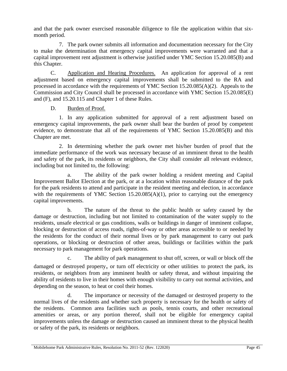and that the park owner exercised reasonable diligence to file the application within that sixmonth period.

7. The park owner submits all information and documentation necessary for the City to make the determination that emergency capital improvements were warranted and that a capital improvement rent adjustment is otherwise justified under YMC Section 15.20.085(B) and this Chapter.

C. Application and Hearing Procedures. An application for approval of a rent adjustment based on emergency capital improvements shall be submitted to the RA and processed in accordance with the requirements of YMC Section 15.20.085(A)(2). Appeals to the Commission and City Council shall be processed in accordance with YMC Section 15.20.085(E) and (F), and 15.20.115 and Chapter 1 of these Rules.

### D. Burden of Proof.

1. In any application submitted for approval of a rent adjustment based on emergency capital improvements, the park owner shall bear the burden of proof by competent evidence, to demonstrate that all of the requirements of YMC Section 15.20.085(B) and this Chapter are met.

2. In determining whether the park owner met his/her burden of proof that the immediate performance of the work was necessary because of an imminent threat to the health and safety of the park, its residents or neighbors, the City shall consider all relevant evidence, including but not limited to, the following:

a. The ability of the park owner holding a resident meeting and Capital Improvement Ballot Election at the park, or at a location within reasonable distance of the park for the park residents to attend and participate in the resident meeting and election, in accordance with the requirements of YMC Section 15.20.085(A)(1), prior to carrying out the emergency capital improvements.

b. The nature of the threat to the public health or safety caused by the damage or destruction, including but not limited to contamination of the water supply to the residents, unsafe electrical or gas conditions, walls or buildings in danger of imminent collapse, blocking or destruction of access roads, rights-of-way or other areas accessible to or needed by the residents for the conduct of their normal lives or by park management to carry out park operations, or blocking or destruction of other areas, buildings or facilities within the park necessary to park management for park operations.

c. The ability of park management to shut off, screen, or wall or block off the damaged or destroyed property, or turn off electricity or other utilities to protect the park, its residents, or neighbors from any imminent health or safety threat, and without impairing the ability of residents to live in their homes with enough visibility to carry out normal activities, and depending on the season, to heat or cool their homes.

d. The importance or necessity of the damaged or destroyed property to the normal lives of the residents and whether such property is necessary for the health or safety of the residents. Common area facilities such as pools, tennis courts, and other recreational amenities or areas, or any portion thereof, shall not be eligible for emergency capital improvements unless the damage or destruction caused an imminent threat to the physical health or safety of the park, its residents or neighbors.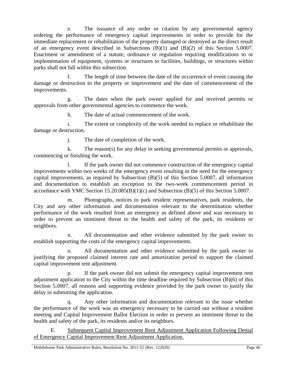e. The issuance of any order or citation by any governmental agency ordering the performance of emergency capital improvements in order to provide for the immediate replacement or rehabilitation of the property damaged or destroyed as the direct result of an emergency event described in Subsections (B)(1) and (B)(2) of this Section 5.0007. Enactment or amendment of a statute, ordinance or regulation requiring modifications to or implementation of equipment, systems or structures to facilities, buildings, or structures within parks shall not fall within this subsection.

The length of time between the date of the occurrence of event causing the damage or destruction to the property or improvement and the date of commencement of the improvements.

g. The dates when the park owner applied for and received permits or approvals from other governmental agencies to commence the work.

h. The date of actual commencement of the work.

i. The extent or complexity of the work needed to replace or rehabilitate the damage or destruction.

j. The date of completion of the work.

k. The reason(s) for any delay in seeking governmental permits or approvals, commencing or finishing the work.

If the park owner did not commence construction of the emergency capital improvements within two weeks of the emergency event resulting in the need for the emergency capital improvements, as required by Subsection (B)(5) of this Section 5.0007, all information and documentation to establish an exception to the two-week commencement period in accordance with YMC Section 15.20.085(B)(1)(c) and Subsection (B)(5) of this Section 5.0007.

m. Photographs, notices to park resident representatives, park residents, the City and any other information and documentation relevant to the determination whether performance of the work resulted from an emergency as defined above and was necessary in order to prevent an imminent threat to the health and safety of the park, its residents or neighbors.

n. All documentation and other evidence submitted by the park owner to establish supporting the costs of the emergency capital improvements.

o. All documentation and other evidence submitted by the park owner to justifying the proposed claimed interest rate and amortization period to support the claimed capital improvement rent adjustment.

p. If the park owner did not submit the emergency capital improvement rent adjustment application to the City within the time deadline required by Subsection (B)(6) of this Section 5.0007, all reasons and supporting evidence provided by the park owner to justify the delay in submitting the application.

q. Any other information and documentation relevant to the issue whether the performance of the work was an emergency necessary to be carried out without a resident meeting and Capital Improvement Ballot Election in order to prevent an imminent threat to the health and safety of the park, its residents and/or its neighbors.

E. Subsequent Capital Improvement Rent Adjustment Application Following Denial of Emergency Capital Improvement Rent Adjustment Application.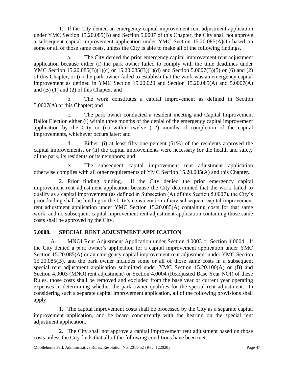1. If the City denied an emergency capital improvement rent adjustment application under YMC Section 15.20.085(B) and Section 5.0007 of this Chapter, the City shall not approve a subsequent capital improvement application under YMC Section 15.20.085(A)(1) based on some or all of those same costs, unless the City is able to make all of the following findings.

a. The City denied the prior emergency capital improvement rent adjustment application because either (i) the park owner failed to comply with the time deadlines under YMC Section 15.20.085(B)(1)(c) or 15.20.085(B)(1)(d) and Section 5.0007(B)(5) or (6) and (2) of this Chapter, or (ii) the park owner failed to establish that the work was an emergency capital improvement as defined in YMC Section 15.20.020 and Section 15.20.085(A) and 5.0007(A) and (B) (1) and (2) of this Chapter, and

b. The work constitutes a capital improvement as defined in Section 5.0007(A) of this Chapter; and

c. The park owner conducted a resident meeting and Capital Improvement Ballot Election either (i) within three months of the denial of the emergency capital improvement application by the City or (ii) within twelve (12) months of completion of the capital improvements, whichever occurs later; and

d. Either: (i) at least fifty-one percent (51%) of the residents approved the capital improvements, or (ii) the capital improvements were necessary for the health and safety of the park, its residents or its neighbors; and

e. The subsequent capital improvement rent adjustment application otherwise complies with all other requirements of YMC Section 15.20.085(A) and this Chapter.

2. Prior finding binding. If the City denied the prior emergency capital improvement rent adjustment application because the City determined that the work failed to qualify as a capital improvement (as defined in Subsection (A) of this Section 5.0007), the City's prior finding shall be binding in the City's consideration of any subsequent capital improvement rent adjustment application under YMC Section 15.20.085(A) containing costs for that same work, and no subsequent capital improvement rent adjustment application containing those same costs shall be approved by the City.

## <span id="page-51-0"></span>**5.0008. SPECIAL RENT ADJUSTMENT APPLICATION**

A. MNOI Rent Adjustment Application under Section 4.0003 or Section 4.0004. If the City denied a park owner's application for a capital improvement application under YMC Section 15.20.085(A) or an emergency capital improvement rent adjustment under YMC Section 15.20.085(B), and the park owner includes some or all of those same costs in a subsequent special rent adjustment application submitted under YMC Section 15.20.100(A) or (B) and Section 4.0003 (MNOI rent adjustment) or Section 4.0004 (Readjusted Base Year NOI) of these Rules, those costs shall be removed and excluded from the base year or current year operating expenses in determining whether the park owner qualifies for the special rent adjustment. In considering such a separate capital improvement application, all of the following provisions shall apply:

1. The capital improvement costs shall be processed by the City as a separate capital improvement application, and be heard concurrently with the hearing on the special rent adjustment application.

2. The City shall not approve a capital improvement rent adjustment based on those costs unless the City finds that all of the following conditions have been met: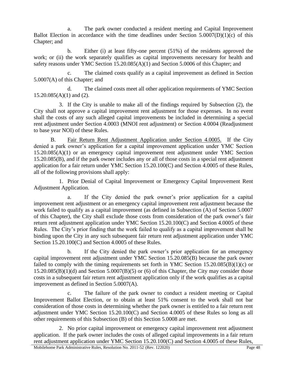a. The park owner conducted a resident meeting and Capital Improvement Ballot Election in accordance with the time deadlines under Section  $5.0007(D)(1)(c)$  of this Chapter; and

b. Either (i) at least fifty-one percent (51%) of the residents approved the work; or (ii) the work separately qualifies as capital improvements necessary for health and safety reasons under YMC Section 15.20.085(A)(1) and Section 5.0006 of this Chapter; and

c. The claimed costs qualify as a capital improvement as defined in Section 5.0007(A) of this Chapter; and

d. The claimed costs meet all other application requirements of YMC Section  $15.20.085(A)(1)$  and  $(2)$ .

3. If the City is unable to make all of the findings required by Subsection (2), the City shall not approve a capital improvement rent adjustment for those expenses. In no event shall the costs of any such alleged capital improvements be included in determining a special rent adjustment under Section 4.0003 (MNOI rent adjustment) or Section 4.0004 (Readjustment to base year NOI) of these Rules.

B. Fair Return Rent Adjustment Application under Section 4.0005. If the City denied a park owner's application for a capital improvement application under YMC Section 15.20.085(A)(1) or an emergency capital improvement rent adjustment under YMC Section 15.20.085(B), and if the park owner includes any or all of those costs in a special rent adjustment application for a fair return under YMC Section 15.20.100(C) and Section 4.0005 of these Rules, all of the following provisions shall apply:

1. Prior Denial of Capital Improvement or Emergency Capital Improvement Rent Adjustment Application.

a. If the City denied the park owner's prior application for a capital improvement rent adjustment or an emergency capital improvement rent adjustment because the work failed to qualify as a capital improvement (as defined in Subsection (A) of Section 5.0007 of this Chapter), the City shall exclude those costs from consideration of the park owner's fair return rent adjustment application under YMC Section 15.20.100(C) and Section 4.0005 of these Rules. The City's prior finding that the work failed to qualify as a capital improvement shall be binding upon the City in any such subsequent fair return rent adjustment application under YMC Section 15.20.100(C) and Section 4.0005 of these Rules.

b. If the City denied the park owner's prior application for an emergency capital improvement rent adjustment under YMC Section 15.20.085(B) because the park owner failed to comply with the timing requirements set forth in YMC Section  $15.20.085(B)(1)(c)$  or  $15.20.085(B)(1)(d)$  and Section  $5.0007(B)(5)$  or (6) of this Chapter, the City may consider those costs in a subsequent fair return rent adjustment application only if the work qualifies as a capital improvement as defined in Section 5.0007(A).

c. The failure of the park owner to conduct a resident meeting or Capital Improvement Ballot Election, or to obtain at least 51% consent to the work shall not bar consideration of those costs in determining whether the park owner is entitled to a fair return rent adjustment under YMC Section 15.20.100(C) and Section 4.0005 of these Rules so long as all other requirements of this Subsection (B) of this Section 5.0008 are met.

2. No prior capital improvement or emergency capital improvement rent adjustment application. If the park owner includes the costs of alleged capital improvements in a fair return rent adjustment application under YMC Section 15.20.100(C) and Section 4.0005 of these Rules,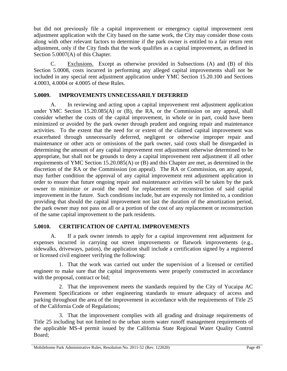but did not previously file a capital improvement or emergency capital improvement rent adjustment application with the City based on the same work, the City may consider those costs along with other relevant factors to determine if the park owner is entitled to a fair return rent adjustment, only if the City finds that the work qualifies as a capital improvement, as defined in Section 5.0007(A) of this Chapter.

C. Exclusions. Except as otherwise provided in Subsections (A) and (B) of this Section 5.0008, costs incurred in performing any alleged capital improvements shall not be included in any special rent adjustment application under YMC Section 15.20.100 and Sections 4.0003, 4.0004 or 4.0005 of these Rules.

#### <span id="page-53-0"></span>**5.0009. IMPROVEMENTS UNNECESSARILY DEFERRED**

A. In reviewing and acting upon a capital improvement rent adjustment application under YMC Section 15.20.085(A) or (B), the RA, or the Commission on any appeal, shall consider whether the costs of the capital improvement, in whole or in part, could have been minimized or avoided by the park owner through prudent and ongoing repair and maintenance activities. To the extent that the need for or extent of the claimed capital improvement was exacerbated through unnecessarily deferred, negligent or otherwise improper repair and maintenance or other acts or omissions of the park owner, said costs shall be disregarded in determining the amount of any capital improvement rent adjustment otherwise determined to be appropriate, but shall not be grounds to deny a capital improvement rent adjustment if all other requirements of YMC Section 15.20.085(A) or (B) and this Chapter are met, as determined in the discretion of the RA or the Commission (on appeal). The RA or Commission, on any appeal, may further condition the approval of any capital improvement rent adjustment application in order to ensure that future ongoing repair and maintenance activities will be taken by the park owner to minimize or avoid the need for replacement or reconstruction of said capital improvement in the future. Such conditions include, but are expressly not limited to, a condition providing that should the capital improvement not last the duration of the amortization period, the park owner may not pass on all or a portion of the cost of any replacement or reconstruction of the same capital improvement to the park residents.

## <span id="page-53-1"></span>**5.0010. CERTIFICATION OF CAPITAL IMPROVEMENTS**

A. If a park owner intends to apply for a capital improvement rent adjustment for expenses incurred in carrying out street improvements or flatwork improvements (e.g., sidewalks, driveways, patios), the application shall include a certification signed by a registered or licensed civil engineer verifying the following:

1. That the work was carried out under the supervision of a licensed or certified engineer to make sure that the capital improvements were properly constructed in accordance with the proposal, contract or bid;

2. That the improvement meets the standards required by the City of Yucaipa AC Pavement Specifications or other engineering standards to ensure adequacy of access and parking throughout the area of the improvement in accordance with the requirements of Title 25 of the California Code of Regulations;

3. That the improvement complies with all grading and drainage requirements of Title 25 including but not limited to the urban storm water runoff management requirements of the applicable MS-4 permit issued by the California State Regional Water Quality Control Board;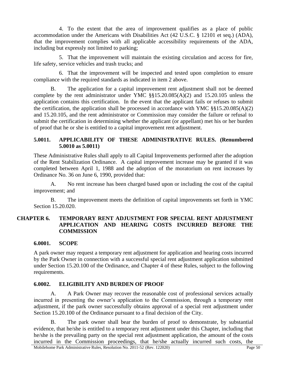4. To the extent that the area of improvement qualifies as a place of public accommodation under the Americans with Disabilities Act (42 U.S.C. § 12101 et seq.) (ADA), that the improvement complies with all applicable accessibility requirements of the ADA, including but expressly not limited to parking;

5. That the improvement will maintain the existing circulation and access for fire, life safety, service vehicles and trash trucks; and

6. That the improvement will be inspected and tested upon completion to ensure compliance with the required standards as indicated in item 2 above.

B. The application for a capital improvement rent adjustment shall not be deemed complete by the rent administrator under YMC §§15.20.085(A)(2) and 15.20.105 unless the application contains this certification. In the event that the applicant fails or refuses to submit the certification, the application shall be processed in accordance with YMC  $\S$ §15.20.085(A)(2) and 15.20.105, and the rent administrator or Commission may consider the failure or refusal to submit the certification in determining whether the applicant (or appellant) met his or her burden of proof that he or she is entitled to a capital improvement rent adjustment.

#### <span id="page-54-0"></span>**5.0011. APPLICABILITY OF THESE ADMINISTRATIVE RULES. (Renumbered 5.0010 as 5.0011)**

These Administrative Rules shall apply to all Capital Improvements performed after the adoption of the Rent Stabilization Ordinance. A capital improvement increase may be granted if it was completed between April 1, 1988 and the adoption of the moratorium on rent increases by Ordinance No. 36 on June 6, 1990, provided that:

A. No rent increase has been charged based upon or including the cost of the capital improvement; and

<span id="page-54-1"></span>B. The improvement meets the definition of capital improvements set forth in YMC Section 15.20.020.

#### **CHAPTER 6. TEMPORARY RENT ADJUSTMENT FOR SPECIAL RENT ADJUSTMENT APPLICATION AND HEARING COSTS INCURRED BEFORE THE COMMISSION**

#### <span id="page-54-2"></span>**6.0001. SCOPE**

A park owner may request a temporary rent adjustment for application and hearing costs incurred by the Park Owner in connection with a successful special rent adjustment application submitted under Section 15.20.100 of the Ordinance, and Chapter 4 of these Rules, subject to the following requirements.

#### <span id="page-54-3"></span>**6.0002. ELIGIBILITY AND BURDEN OF PROOF**

A. A Park Owner may recover the reasonable cost of professional services actually incurred in presenting the owner's application to the Commission, through a temporary rent adjustment, if the park owner successfully obtains approval of a special rent adjustment under Section 15.20.100 of the Ordinance pursuant to a final decision of the City.

B. The park owner shall bear the burden of proof to demonstrate, by substantial evidence, that he/she is entitled to a temporary rent adjustment under this Chapter, including that he/she is the prevailing party on the special rent adjustment application, the amount of the costs incurred in the Commission proceedings, that he/she actually incurred such costs, the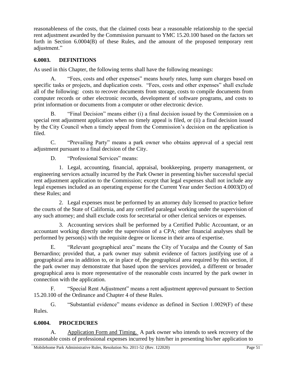reasonableness of the costs, that the claimed costs bear a reasonable relationship to the special rent adjustment awarded by the Commission pursuant to YMC 15.20.100 based on the factors set forth in Section 6.0004(B) of these Rules, and the amount of the proposed temporary rent adjustment."

#### <span id="page-55-0"></span>**6.0003. DEFINITIONS**

As used in this Chapter, the following terms shall have the following meanings:

A. "Fees, costs and other expenses" means hourly rates, lump sum charges based on specific tasks or projects, and duplication costs. "Fees, costs and other expenses" shall exclude all of the following: costs to recover documents from storage, costs to compile documents from computer records or other electronic records, development of software programs, and costs to print information or documents from a computer or other electronic device.

B. "Final Decision" means either (i) a final decision issued by the Commission on a special rent adjustment application when no timely appeal is filed, or (ii) a final decision issued by the City Council when a timely appeal from the Commission's decision on the application is filed.

C. "Prevailing Party" means a park owner who obtains approval of a special rent adjustment pursuant to a final decision of the City.

D. "Professional Services" means:

1. Legal, accounting, financial, appraisal, bookkeeping, property management, or engineering services actually incurred by the Park Owner in presenting his/her successful special rent adjustment application to the Commission; except that legal expenses shall not include any legal expenses included as an operating expense for the Current Year under Section 4.0003(D) of these Rules; and

2. Legal expenses must be performed by an attorney duly licensed to practice before the courts of the State of California, and any certified paralegal working under the supervision of any such attorney; and shall exclude costs for secretarial or other clerical services or expenses.

3. Accounting services shall be performed by a Certified Public Accountant, or an accountant working directly under the supervision of a CPA; other financial analyses shall be performed by person(s) with the requisite degree or license in their area of expertise.

E. "Relevant geographical area" means the City of Yucaipa and the County of San Bernardino; provided that, a park owner may submit evidence of factors justifying use of a geographical area in addition to, or in place of, the geographical area required by this section, if the park owner may demonstrate that based upon the services provided, a different or broader geographical area is more representative of the reasonable costs incurred by the park owner in connection with the application.

F. "Special Rent Adjustment" means a rent adjustment approved pursuant to Section 15.20.100 of the Ordinance and Chapter 4 of these Rules.

G. "Substantial evidence" means evidence as defined in Section 1.0029(F) of these Rules.

#### <span id="page-55-1"></span>**6.0004. PROCEDURES**

A. Application Form and Timing. A park owner who intends to seek recovery of the reasonable costs of professional expenses incurred by him/her in presenting his/her application to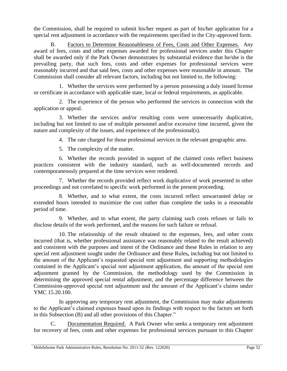the Commission, shall be required to submit his/her request as part of his/her application for a special rent adjustment in accordance with the requirements specified in the City-approved form.

B. Factors to Determine Reasonableness of Fees, Costs and Other Expenses. Any award of fees, costs and other expenses awarded for professional services under this Chapter shall be awarded only if the Park Owner demonstrates by substantial evidence that he/she is the prevailing party, that such fees, costs and other expenses for professional services were reasonably incurred and that said fees, costs and other expenses were reasonable in amount. The Commission shall consider all relevant factors, including but not limited to, the following:

1. Whether the services were performed by a person possessing a duly issued license or certificate in accordance with applicable state, local or federal requirements, as applicable.

2. The experience of the person who performed the services in connection with the application or appeal.

3. Whether the services and/or resulting costs were unnecessarily duplicative, including but not limited to use of multiple personnel and/or excessive time incurred, given the nature and complexity of the issues, and experience of the professional(s).

4. The rate charged for those professional services in the relevant geographic area.

5. The complexity of the matter.

6. Whether the records provided in support of the claimed costs reflect business practices consistent with the industry standard, such as well-documented records and contemporaneously prepared at the time services were rendered.

7. Whether the records provided reflect work duplicative of work presented in other proceedings and not correlated to specific work performed in the present proceeding.

8. Whether, and to what extent, the costs incurred reflect unwarranted delay or extended hours intended to maximize the cost rather than complete the tasks in a reasonable period of time.

9. Whether, and to what extent, the party claiming such costs refuses or fails to disclose details of the work performed, and the reasons for such failure or refusal.

10. The relationship of the result obtained to the expenses, fees, and other costs incurred (that is, whether professional assistance was reasonably related to the result achieved) and consistent with the purposes and intent of the Ordinance and these Rules in relation to any special rent adjustment sought under the Ordinance and these Rules*,* including but not limited to the amount of the Applicant's requested special rent adjustment and supporting methodologies contained in the Applicant's special rent adjustment application, the amount of the special rent adjustment granted by the Commission, the methodology used by the Commission in determining the approved special rental adjustment, and the percentage difference between the Commission-approved special rent adjustment and the amount of the Applicant's claims under YMC 15.20.100.

In approving any temporary rent adjustment, the Commission may make adjustments to the Applicant's claimed expenses based upon its findings with respect to the factors set forth in this Subsection (B) and all other provisions of this Chapter."

Documentation Required. A Park Owner who seeks a temporary rent adjustment for recovery of fees, costs and other expenses for professional services pursuant to this Chapter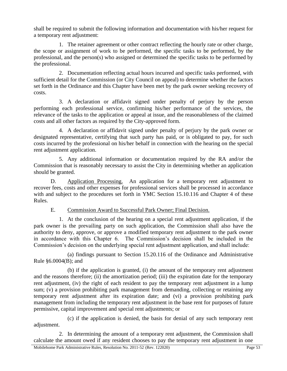shall be required to submit the following information and documentation with his/her request for a temporary rent adjustment:

1. The retainer agreement or other contract reflecting the hourly rate or other charge, the scope or assignment of work to be performed, the specific tasks to be performed, by the professional, and the person(s) who assigned or determined the specific tasks to be performed by the professional.

2. Documentation reflecting actual hours incurred and specific tasks performed, with sufficient detail for the Commission (or City Council on appeal) to determine whether the factors set forth in the Ordinance and this Chapter have been met by the park owner seeking recovery of costs.

3. A declaration or affidavit signed under penalty of perjury by the person performing each professional service, confirming his/her performance of the services, the relevance of the tasks to the application or appeal at issue, and the reasonableness of the claimed costs and all other factors as required by the City-approved form.

4. A declaration or affidavit signed under penalty of perjury by the park owner or designated representative, certifying that such party has paid, or is obligated to pay, for such costs incurred by the professional on his/her behalf in connection with the hearing on the special rent adjustment application.

5. Any additional information or documentation required by the RA and/or the Commission that is reasonably necessary to assist the City in determining whether an application should be granted.

D. Application Processing. An application for a temporary rent adjustment to recover fees, costs and other expenses for professional services shall be processed in accordance with and subject to the procedures set forth in YMC Section 15.10.116 and Chapter 4 of these Rules.

## E. Commission Award to Successful Park Owner; Final Decision.

1. At the conclusion of the hearing on a special rent adjustment application, if the park owner is the prevailing party on such application, the Commission shall also have the authority to deny, approve, or approve a modified temporary rent adjustment to the park owner in accordance with this Chapter 6. The Commission's decision shall be included in the Commission's decision on the underlying special rent adjustment application, and shall include:

(a) findings pursuant to Section 15.20.116 of the Ordinance and Administrative Rule §6.0004(B); and

(b) if the application is granted, (i) the amount of the temporary rent adjustment and the reasons therefore; (ii) the amortization period; (iii) the expiration date for the temporary rent adjustment, (iv) the right of each resident to pay the temporary rent adjustment in a lump sum; (v) a provision prohibiting park management from demanding, collecting or retaining any temporary rent adjustment after its expiration date; and (vi) a provision prohibiting park management from including the temporary rent adjustment in the base rent for purposes of future permissive, capital improvement and special rent adjustments; or

(c) if the application is denied, the basis for denial of any such temporary rent adjustment.

2. In determining the amount of a temporary rent adjustment, the Commission shall calculate the amount owed if any resident chooses to pay the temporary rent adjustment in one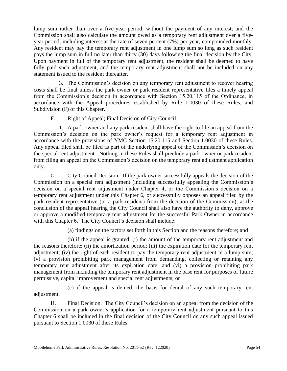lump sum rather than over a five-year period, without the payment of any interest; and the Commission shall also calculate the amount owed as a temporary rent adjustment over a fiveyear period, including interest at the rate of seven percent (7%) per year, compounded monthly. Any resident may pay the temporary rent adjustment in one lump sum so long as such resident pays the lump sum in full no later than thirty (30) days following the final decision by the City. Upon payment in full of the temporary rent adjustment, the resident shall be deemed to have fully paid such adjustment, and the temporary rent adjustment shall not be included on any statement issued to the resident thereafter.

3. The Commission's decision on any temporary rent adjustment to recover hearing costs shall be final unless the park owner or park resident representative files a timely appeal from the Commission's decision in accordance with Section 15.20.115 of the Ordinance, in accordance with the Appeal procedures established by Rule 1.0030 of these Rules, and Subdivision (F) of this Chapter.

### F. Right of Appeal; Final Decision of City Council.

1. A park owner and any park resident shall have the right to file an appeal from the Commission's decision on the park owner's request for a temporary rent adjustment in accordance with the provisions of YMC Section 15.20.115 and Section 1.0030 of these Rules. Any appeal filed shall be filed as part of the underlying appeal of the Commission's decision on the special rent adjustment. Nothing in these Rules shall preclude a park owner or park resident from filing an appeal on the Commission's decision on the temporary rent adjustment application only.

G. City Council Decision. If the park owner successfully appeals the decision of the Commission on a special rent adjustment (including successfully appealing the Commission's decision on a special rent adjustment under Chapter 4, or the Commission's decision on a temporary rent adjustment under this Chapter 6, or successfully opposes an appeal filed by the park resident representative (or a park resident) from the decision of the Commission), at the conclusion of the appeal hearing the City Council shall also have the authority to deny, approve or approve a modified temporary rent adjustment for the successful Park Owner in accordance with this Chapter 6. The City Council's decision shall include:

(a) findings on the factors set forth in this Section and the reasons therefore; and

(b) if the appeal is granted, (i) the amount of the temporary rent adjustment and the reasons therefore; (ii) the amortization period; (iii) the expiration date for the temporary rent adjustment; (iv) the right of each resident to pay the temporary rent adjustment in a lump sum; (v) a provision prohibiting park management from demanding, collecting or retaining any temporary rent adjustment after its expiration date; and (vi) a provision prohibiting park management from including the temporary rent adjustment in the base rent for purposes of future permissive, capital improvement and special rent adjustments; or

(c) if the appeal is denied, the basis for denial of any such temporary rent adjustment.

H. Final Decision. The City Council's decision on an appeal from the decision of the Commission on a park owner's application for a temporary rent adjustment pursuant to this Chapter 6 shall be included in the final decision of the City Council on any such appeal issued pursuant to Section 1.0030 of these Rules.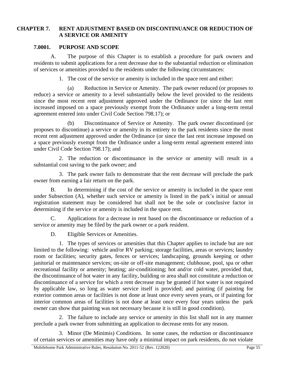#### <span id="page-59-0"></span>**CHAPTER 7. RENT ADJUSTMENT BASED ON DISCONTINUANCE OR REDUCTION OF A SERVICE OR AMENITY**

#### <span id="page-59-1"></span>**7.0001. PURPOSE AND SCOPE**

A. The purpose of this Chapter is to establish a procedure for park owners and residents to submit applications for a rent decrease due to the substantial reduction or elimination of services or amenities provided to the residents under the following circumstances:

1. The cost of the service or amenity is included in the space rent and either:

(a) Reduction in Service or Amenity. The park owner reduced (or proposes to reduce) a service or amenity to a level substantially below the level provided to the residents since the most recent rent adjustment approved under the Ordinance (or since the last rent increased imposed on a space previously exempt from the Ordinance under a long-term rental agreement entered into under Civil Code Section 798.17); or

(b) Discontinuance of Service or Amenity. The park owner discontinued (or proposes to discontinue) a service or amenity in its entirety to the park residents since the most recent rent adjustment approved under the Ordinance (or since the last rent increase imposed on a space previously exempt from the Ordinance under a long-term rental agreement entered into under Civil Code Section 798.17); and

2. The reduction or discontinuance in the service or amenity will result in a substantial cost saving to the park owner; and

3. The park owner fails to demonstrate that the rent decrease will preclude the park owner from earning a fair return on the park.

B. In determining if the cost of the service or amenity is included in the space rent under Subsection (A), whether such service or amenity is listed in the park's initial or annual registration statement may be considered but shall not be the sole or conclusive factor in determining if the service or amenity is included in the space rent.

C. Applications for a decrease in rent based on the discontinuance or reduction of a service or amenity may be filed by the park owner or a park resident.

D. Eligible Services or Amenities.

1. The types of services or amenities that this Chapter applies to include but are not limited to the following: vehicle and/or RV parking; storage facilities, areas or services; laundry room or facilities; security gates, fences or services; landscaping, grounds keeping or other janitorial or maintenance services; on-site or off-site management; clubhouse, pool, spa or other recreational facility or amenity; heating; air-conditioning; hot and/or cold water, provided that, the discontinuance of hot water in any facility, building or area shall not constitute a reduction or discontinuance of a service for which a rent decrease may be granted if hot water is not required by applicable law, so long as water service itself is provided; and painting (if painting for exterior common areas or facilities is not done at least once every seven years, or if painting for interior common areas of facilities is not done at least once every four years unless the park owner can show that painting was not necessary because it is still in good condition).

2. The failure to include any service or amenity in this list shall not in any manner preclude a park owner from submitting an application to decrease rents for any reason.

3. Minor (De Minimis) Conditions. In some cases, the reduction or discontinuance of certain services or amenities may have only a minimal impact on park residents, do not violate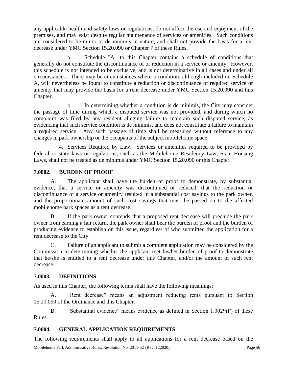any applicable health and safety laws or regulations, do not affect the use and enjoyment of the premises, and may exist despite regular maintenance of services or amenities. Such conditions are considered to be minor or de minimis in nature, and shall not provide the basis for a rent decrease under YMC Section 15.20.090 or Chapter 7 of these Rules.

a. Schedule "A" to this Chapter contains a schedule of conditions that generally do not constitute the discontinuance of or reduction in a service or amenity. However, this schedule is not intended to be exclusive, and is not determinative in all cases and under all circumstances. There may be circumstances where a condition, although included on Schedule A, will nevertheless be found to constitute a reduction or discontinuance of required service or amenity that may provide the basis for a rent decrease under YMC Section 15.20.090 and this Chapter.

b. In determining whether a condition is de minimis, the City may consider the passage of time during which a disputed service was not provided, and during which no complaint was filed by any resident alleging failure to maintain such disputed service, as evidencing that such service condition is de minimis, and does not constitute a failure to maintain a required service. Any such passage of time shall be measured without reference to any changes in park ownership or the occupants of the subject mobilehome space.

4. Services Required by Law. Services or amenities required to be provided by federal or state laws or regulations, such as the Mobilehome Residency Law, State Housing Laws, shall not be treated as de minimis under YMC Section 15.20.090 or this Chapter.

#### <span id="page-60-0"></span>**7.0002. BURDEN OF PROOF**

A. The applicant shall have the burden of proof to demonstrate, by substantial evidence, that a service or amenity was discontinued or reduced, that the reduction or discontinuance of a service or amenity resulted in a substantial cost savings to the park owner, and the proportionate amount of such cost savings that must be passed on to the affected mobilehome park spaces as a rent decrease.

B. If the park owner contends that a proposed rent decrease will preclude the park owner from earning a fair return, the park owner shall bear the burden of proof and the burden of producing evidence to establish on this issue, regardless of who submitted the application for a rent decrease to the City.

C. Failure of an applicant to submit a complete application may be considered by the Commission in determining whether the applicant met his/her burden of proof to demonstrate that he/she is entitled to a rent decrease under this Chapter, and/or the amount of such rent decrease.

#### <span id="page-60-1"></span>**7.0003. DEFINITIONS**

As used in this Chapter, the following terms shall have the following meanings:

A. "Rent decrease" means an adjustment reducing rents pursuant to Section 15.20.090 of the Ordinance and this Chapter.

B. "Substantial evidence" means evidence as defined in Section 1.0029(F) of these Rules.

#### <span id="page-60-2"></span>**7.0004. GENERAL APPLICATION REQUIREMENTS**

The following requirements shall apply to all applications for a rent decrease based on the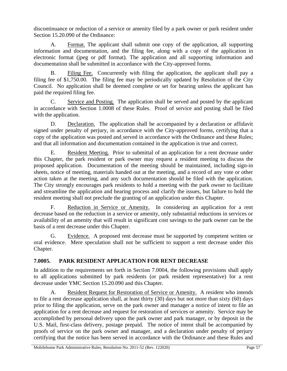discontinuance or reduction of a service or amenity filed by a park owner or park resident under Section 15.20.090 of the Ordinance:

A. Format. The applicant shall submit one copy of the application, all supporting information and documentation, and the filing fee, along with a copy of the application in electronic format (jpeg or pdf format). The application and all supporting information and documentation shall be submitted in accordance with the City-approved forms.

B. Filing Fee. Concurrently with filing the application, the applicant shall pay a filing fee of \$1,750.00. The filing fee may be periodically updated by Resolution of the City Council. No application shall be deemed complete or set for hearing unless the applicant has paid the required filing fee.

C. Service and Posting. The application shall be served and posted by the applicant in accordance with Section 1.0008 of these Rules. Proof of service and posting shall be filed with the application.

D. Declaration. The application shall be accompanied by a declaration or affidavit signed under penalty of perjury, in accordance with the City-approved forms, certifying that a copy of the application was posted and served in accordance with the Ordinance and these Rules; and that all information and documentation contained in the application is true and correct.

E. Resident Meeting. Prior to submittal of an application for a rent decrease under this Chapter, the park resident or park owner may request a resident meeting to discuss the proposed application. Documentation of the meeting should be maintained, including sign-in sheets, notice of meeting, materials handed out at the meeting, and a record of any vote or other action taken at the meeting, and any such documentation should be filed with the application. The City strongly encourages park residents to hold a meeting with the park owner to facilitate and streamline the application and hearing process and clarify the issues, but failure to hold the resident meeting shall not preclude the granting of an application under this Chapter.

F. Reduction in Service or Amenity. In considering an application for a rent decrease based on the reduction in a service or amenity, only substantial reductions in services or availability of an amenity that will result in significant cost savings to the park owner can be the basis of a rent decrease under this Chapter.

G. Evidence. A proposed rent decrease must be supported by competent written or oral evidence. Mere speculation shall not be sufficient to support a rent decrease under this Chapter.

## <span id="page-61-0"></span>**7.0005. PARK RESIDENT APPLICATION FOR RENT DECREASE**

In addition to the requirements set forth in Section 7.0004, the following provisions shall apply to all applications submitted by park residents (or park resident representative) for a rent decrease under YMC Section 15.20.090 and this Chapter.

A. Resident Request for Restoration of Service or Amenity. A resident who intends to file a rent decrease application shall, at least thirty (30) days but not more than sixty (60) days prior to filing the application, serve on the park owner and manager a notice of intent to file an application for a rent decrease and request for restoration of services or amenity. Service may be accomplished by personal delivery upon the park owner and park manager, or by deposit in the U.S. Mail, first-class delivery, postage prepaid. The notice of intent shall be accompanied by proofs of service on the park owner and manager, and a declaration under penalty of perjury certifying that the notice has been served in accordance with the Ordinance and these Rules and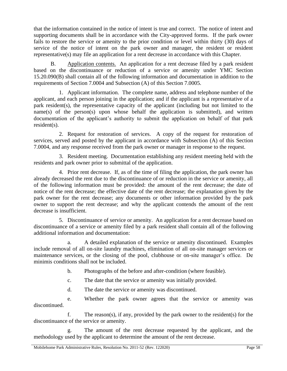that the information contained in the notice of intent is true and correct. The notice of intent and supporting documents shall be in accordance with the City-approved forms. If the park owner fails to restore the service or amenity to the prior condition or level within thirty (30) days of service of the notice of intent on the park owner and manager, the resident or resident representative(s) may file an application for a rent decrease in accordance with this Chapter.

B. Application contents. An application for a rent decrease filed by a park resident based on the discontinuance or reduction of a service or amenity under YMC Section 15.20.090(B) shall contain all of the following information and documentation in addition to the requirements of Section 7.0004 and Subsection (A) of this Section 7.0005.

1. Applicant information. The complete name, address and telephone number of the applicant, and each person joining in the application; and if the applicant is a representative of a park resident(s), the representative capacity of the applicant (including but not limited to the name(s) of the person(s) upon whose behalf the application is submitted), and written documentation of the applicant's authority to submit the application on behalf of that park resident(s).

2. Request for restoration of services. A copy of the request for restoration of services, served and posted by the applicant in accordance with Subsection (A) of this Section 7.0004, and any response received from the park owner or manager in response to the request.

3. Resident meeting. Documentation establishing any resident meeting held with the residents and park owner prior to submittal of the application.

4. Prior rent decrease. If, as of the time of filing the application, the park owner has already decreased the rent due to the discontinuance of or reduction in the service or amenity, all of the following information must be provided: the amount of the rent decrease; the date of notice of the rent decrease; the effective date of the rent decrease; the explanation given by the park owner for the rent decrease; any documents or other information provided by the park owner to support the rent decrease; and why the applicant contends the amount of the rent decrease is insufficient.

5. Discontinuance of service or amenity. An application for a rent decrease based on discontinuance of a service or amenity filed by a park resident shall contain all of the following additional information and documentation:

a. A detailed explanation of the service or amenity discontinued. Examples include removal of all on-site laundry machines, elimination of all on-site manager services or maintenance services, or the closing of the pool, clubhouse or on-site manager's office. De minimis conditions shall not be included.

b. Photographs of the before and after-condition (where feasible).

c. The date that the service or amenity was initially provided.

d. The date the service or amenity was discontinued.

e. Whether the park owner agrees that the service or amenity was discontinued.

f. The reason(s), if any, provided by the park owner to the resident(s) for the discontinuance of the service or amenity.

g. The amount of the rent decrease requested by the applicant, and the methodology used by the applicant to determine the amount of the rent decrease.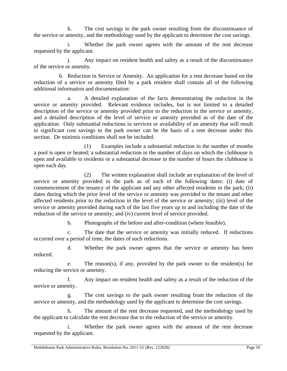h. The cost savings to the park owner resulting from the discontinuance of the service or amenity, and the methodology used by the applicant to determine the cost savings.

i. Whether the park owner agrees with the amount of the rent decrease requested by the applicant.

j. Any impact on resident health and safety as a result of the discontinuance of the service or amenity.

6. Reduction in Service or Amenity. An application for a rent decrease based on the reduction of a service or amenity filed by a park resident shall contain all of the following additional information and documentation:

a. A detailed explanation of the facts demonstrating the reduction in the service or amenity provided. Relevant evidence includes, but is not limited to a detailed description of the service or amenity provided prior to the reduction in the service or amenity, and a detailed description of the level of service or amenity provided as of the date of the application. Only substantial reductions in services or availability of an amenity that will result in significant cost savings to the park owner can be the basis of a rent decrease under this section. De minimis conditions shall not be included.

(1) Examples include a substantial reduction in the number of months a pool is open or heated; a substantial reduction in the number of days on which the clubhouse is open and available to residents or a substantial decrease in the number of hours the clubhouse is open each day.

(2) The written explanation shall include an explanation of the level of service or amenity provided in the park as of each of the following dates: (i) date of commencement of the tenancy of the applicant and any other affected residents in the park; (ii) dates during which the prior level of the service or amenity was provided to the tenant and other affected residents prior to the reduction in the level of the service or amenity; (iii) level of the service or amenity provided during each of the last five years up to and including the date of the reduction of the service or amenity; and (iv) current level of service provided.

b. Photographs of the before and after-condition (where feasible).

c. The date that the service or amenity was initially reduced. If reductions occurred over a period of time, the dates of such reductions.

d. Whether the park owner agrees that the service or amenity has been reduced.

e. The reason(s), if any, provided by the park owner to the resident(s) for reducing the service or amenity.

f. Any impact on resident health and safety as a result of the reduction of the service or amenity.

The cost savings to the park owner resulting from the reduction of the service or amenity, and the methodology used by the applicant to determine the cost savings.

h. The amount of the rent decrease requested, and the methodology used by the applicant to calculate the rent decrease due to the reduction of the service or amenity.

i. Whether the park owner agrees with the amount of the rent decrease requested by the applicant.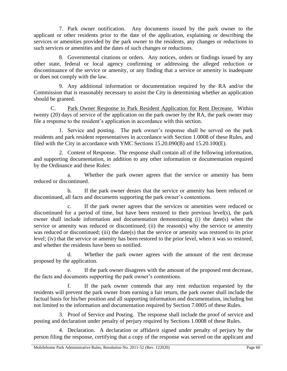7. Park owner notification. Any documents issued by the park owner to the applicant or other residents prior to the date of the application, explaining or describing the services or amenities provided by the park owner to the residents, any changes or reductions in such services or amenities and the dates of such changes or reductions.

8. Governmental citations or orders. Any notices, orders or findings issued by any other state, federal or local agency confirming or addressing the alleged reduction or discontinuance of the service or amenity, or any finding that a service or amenity is inadequate or does not comply with the law.

9. Any additional information or documentation required by the RA and/or the Commission that is reasonably necessary to assist the City in determining whether an application should be granted.

C. Park Owner Response to Park Resident Application for Rent Decrease. Within twenty (20) days of service of the application on the park owner by the RA, the park owner may file a response to the resident's application in accordance with this section.

1. Service and posting. The park owner's response shall be served on the park residents and park resident representatives in accordance with Section 1.0008 of these Rules, and filed with the City in accordance with YMC Sections 15.20.090(B) and 15.20.100(E).

2. Content of Response. The response shall contain all of the following information, and supporting documentation, in addition to any other information or documentation required by the Ordinance and these Rules:

a. Whether the park owner agrees that the service or amenity has been reduced or discontinued.

b. If the park owner denies that the service or amenity has been reduced or discontinued, all facts and documents supporting the park owner's contentions.

c. If the park owner agrees that the services or amenities were reduced or discontinued for a period of time, but have been restored to their previous level(s), the park owner shall include information and documentation demonstrating (i) the date(s) when the service or amenity was reduced or discontinued; (ii) the reason(s) why the service or amenity was reduced or discontinued; (iii) the date(s) that the service or amenity was restored to its prior level; (iv) that the service or amenity has been restored to the prior level, when it was so restored, and whether the residents have been so notified.

d. Whether the park owner agrees with the amount of the rent decrease proposed by the application.

e. If the park owner disagrees with the amount of the proposed rent decrease, the facts and documents supporting the park owner's contentions.

f. If the park owner contends that any rent reduction requested by the residents will prevent the park owner from earning a fair return, the park owner shall include the factual basis for his/her position and all supporting information and documentation, including but not limited to the information and documentation required by Section 7.0005 of these Rules.

3. Proof of Service and Posting. The response shall include the proof of service and posting and declaration under penalty of perjury required by Sections 1.0008 of these Rules.

4. Declaration. A declaration or affidavit signed under penalty of perjury by the person filing the response, certifying that a copy of the response was served on the applicant and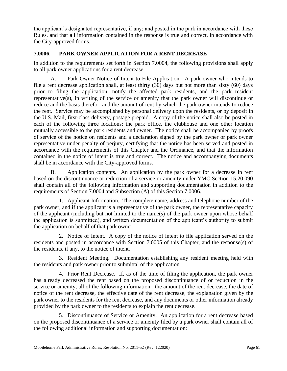the applicant's designated representative, if any; and posted in the park in accordance with these Rules, and that all information contained in the response is true and correct, in accordance with the City-approved forms.

## <span id="page-65-0"></span>**7.0006. PARK OWNER APPLICATION FOR A RENT DECREASE**

In addition to the requirements set forth in Section 7.0004, the following provisions shall apply to all park owner applications for a rent decrease.

A. Park Owner Notice of Intent to File Application. A park owner who intends to file a rent decrease application shall, at least thirty (30) days but not more than sixty (60) days prior to filing the application, notify the affected park residents, and the park resident representative(s), in writing of the service or amenity that the park owner will discontinue or reduce and the basis therefor, and the amount of rent by which the park owner intends to reduce the rent. Service may be accomplished by personal delivery upon the residents, or by deposit in the U.S. Mail, first-class delivery, postage prepaid. A copy of the notice shall also be posted in each of the following three locations: the park office, the clubhouse and one other location mutually accessible to the park residents and owner. The notice shall be accompanied by proofs of service of the notice on residents and a declaration signed by the park owner or park owner representative under penalty of perjury, certifying that the notice has been served and posted in accordance with the requirements of this Chapter and the Ordinance, and that the information contained in the notice of intent is true and correct. The notice and accompanying documents shall be in accordance with the City-approved forms.

B. Application contents. An application by the park owner for a decrease in rent based on the discontinuance or reduction of a service or amenity under YMC Section 15.20.090 shall contain all of the following information and supporting documentation in addition to the requirements of Section 7.0004 and Subsection (A) of this Section 7.0006.

1. Applicant Information. The complete name, address and telephone number of the park owner, and if the applicant is a representative of the park owner, the representative capacity of the applicant (including but not limited to the name(s) of the park owner upon whose behalf the application is submitted), and written documentation of the applicant's authority to submit the application on behalf of that park owner.

2. Notice of Intent. A copy of the notice of intent to file application served on the residents and posted in accordance with Section 7.0005 of this Chapter, and the response(s) of the residents, if any, to the notice of intent.

3. Resident Meeting. Documentation establishing any resident meeting held with the residents and park owner prior to submittal of the application.

4. Prior Rent Decrease. If, as of the time of filing the application, the park owner has already decreased the rent based on the proposed discontinuance of or reduction in the service or amenity, all of the following information: the amount of the rent decrease, the date of notice of the rent decrease, the effective date of the rent decrease, the explanation given by the park owner to the residents for the rent decrease, and any documents or other information already provided by the park owner to the residents to explain the rent decrease.

5. Discontinuance of Service or Amenity. An application for a rent decrease based on the proposed discontinuance of a service or amenity filed by a park owner shall contain all of the following additional information and supporting documentation: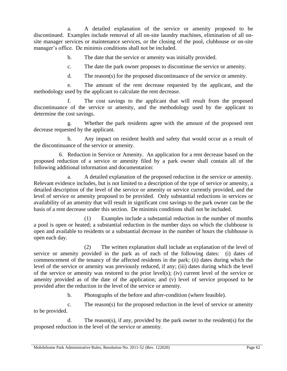a. A detailed explanation of the service or amenity proposed to be discontinued. Examples include removal of all on-site laundry machines, elimination of all onsite manager services or maintenance services, or the closing of the pool, clubhouse or on-site manager's office. De minimis conditions shall not be included.

b. The date that the service or amenity was initially provided.

c. The date the park owner proposes to discontinue the service or amenity.

d. The reason(s) for the proposed discontinuance of the service or amenity.

e. The amount of the rent decrease requested by the applicant, and the methodology used by the applicant to calculate the rent decrease.

f. The cost savings to the applicant that will result from the proposed discontinuance of the service or amenity, and the methodology used by the applicant to determine the cost savings.

g. Whether the park residents agree with the amount of the proposed rent decrease requested by the applicant.

h. Any impact on resident health and safety that would occur as a result of the discontinuance of the service or amenity.

6. Reduction in Service or Amenity. An application for a rent decrease based on the proposed reduction of a service or amenity filed by a park owner shall contain all of the following additional information and documentation:

a. A detailed explanation of the proposed reduction in the service or amenity. Relevant evidence includes, but is not limited to a description of the type of service or amenity, a detailed description of the level of the service or amenity or service currently provided, and the level of service or amenity proposed to be provided. Only substantial reductions in services or availability of an amenity that will result in significant cost savings to the park owner can be the basis of a rent decrease under this section. De minimis conditions shall not be included.

(1) Examples include a substantial reduction in the number of months a pool is open or heated; a substantial reduction in the number days on which the clubhouse is open and available to residents or a substantial decrease in the number of hours the clubhouse is open each day.

(2) The written explanation shall include an explanation of the level of service or amenity provided in the park as of each of the following dates: (i) dates of commencement of the tenancy of the affected residents in the park; (ii) dates during which the level of the service or amenity was previously reduced, if any; (iii) dates during which the level of the service or amenity was restored to the prior level(s); (iv) current level of the service or amenity provided as of the date of the application; and (v) level of service proposed to be provided after the reduction in the level of the service or amenity.

b. Photographs of the before and after-condition (where feasible).

c. The reason(s) for the proposed reduction in the level of service or amenity to be provided.

d. The reason(s), if any, provided by the park owner to the resident(s) for the proposed reduction in the level of the service or amenity.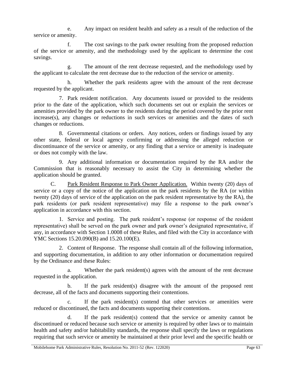e. Any impact on resident health and safety as a result of the reduction of the service or amenity.

f. The cost savings to the park owner resulting from the proposed reduction of the service or amenity, and the methodology used by the applicant to determine the cost savings.

g. The amount of the rent decrease requested, and the methodology used by the applicant to calculate the rent decrease due to the reduction of the service or amenity.

h. Whether the park residents agree with the amount of the rent decrease requested by the applicant.

7. Park resident notification. Any documents issued or provided to the residents prior to the date of the application, which such documents set out or explain the services or amenities provided by the park owner to the residents during the period covered by the prior rent increase(s), any changes or reductions in such services or amenities and the dates of such changes or reductions.

8. Governmental citations or orders. Any notices, orders or findings issued by any other state, federal or local agency confirming or addressing the alleged reduction or discontinuance of the service or amenity, or any finding that a service or amenity is inadequate or does not comply with the law.

9. Any additional information or documentation required by the RA and/or the Commission that is reasonably necessary to assist the City in determining whether the application should be granted.

C. Park Resident Response to Park Owner Application. Within twenty (20) days of service or a copy of the notice of the application on the park residents by the RA (or within twenty (20) days of service of the application on the park resident representative by the RA), the park residents (or park resident representative) may file a response to the park owner's application in accordance with this section.

1. Service and posting. The park resident's response (or response of the resident representative) shall be served on the park owner and park owner's designated representative, if any, in accordance with Section 1.0008 of these Rules, and filed with the City in accordance with YMC Sections 15.20.090(B) and 15.20.100(E).

2. Content of Response. The response shall contain all of the following information, and supporting documentation, in addition to any other information or documentation required by the Ordinance and these Rules:

a. Whether the park resident(s) agrees with the amount of the rent decrease requested in the application.

b. If the park resident(s) disagree with the amount of the proposed rent decrease, all of the facts and documents supporting their contentions.

c. If the park resident(s) contend that other services or amenities were reduced or discontinued, the facts and documents supporting their contentions.

d. If the park resident(s) contend that the service or amenity cannot be discontinued or reduced because such service or amenity is required by other laws or to maintain health and safety and/or habitability standards, the response shall specify the laws or regulations requiring that such service or amenity be maintained at their prior level and the specific health or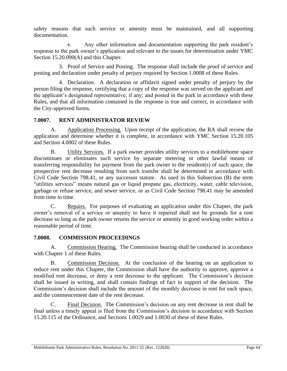safety reasons that such service or amenity must be maintained, and all supporting documentation.

e. Any other information and documentation supporting the park resident's response to the park owner's application and relevant to the issues for determination under YMC Section 15.20.090(A) and this Chapter.

3. Proof of Service and Posting. The response shall include the proof of service and posting and declaration under penalty of perjury required by Section 1.0008 of these Rules.

4. Declaration. A declaration or affidavit signed under penalty of perjury by the person filing the response, certifying that a copy of the response was served on the applicant and the applicant's designated representative, if any; and posted in the park in accordance with these Rules, and that all information contained in the response is true and correct, in accordance with the City-approved forms.

#### <span id="page-68-0"></span>**7.0007. RENT ADMINISTRATOR REVIEW**

A. Application Processing. Upon receipt of the application, the RA shall review the application and determine whether it is complete, in accordance with YMC Section 15.20.105 and Section 4.0002 of these Rules.

B. Utility Services. If a park owner provides utility services to a mobilehome space discontinues or eliminates such service by separate metering or other lawful means of transferring responsibility for payment from the park owner to the resident(s) of such space, the prospective rent decrease resulting from such transfer shall be determined in accordance with Civil Code Section 798.41, or any successor statute. As used in this Subsection (B) the term "utilities services" means natural gas or liquid propane gas, electricity, water, cable television, garbage or refuse service, and sewer service, or as Civil Code Section 798.41 may be amended from time to time.

C. Repairs. For purposes of evaluating an application under this Chapter, the park owner's removal of a service or amenity to have it repaired shall not be grounds for a rent decrease so long as the park owner returns the service or amenity in good working order within a reasonable period of time.

#### <span id="page-68-1"></span>**7.0008. COMMISSION PROCEEDINGS**

A. Commission Hearing. The Commission hearing shall be conducted in accordance with Chapter 1 of these Rules.

B. Commission Decision. At the conclusion of the hearing on an application to reduce rent under this Chapter, the Commission shall have the authority to approve, approve a modified rent decrease, or deny a rent decrease to the applicant. The Commission's decision shall be issued in writing, and shall contain findings of fact in support of the decision. The Commission's decision shall include the amount of the monthly decrease in rent for each space, and the commencement date of the rent decrease.

Final Decision. The Commission's decision on any rent decrease in rent shall be final unless a timely appeal is filed from the Commission's decision in accordance with Section 15.20.115 of the Ordinance, and Sections 1.0029 and 1.0030 of these of these Rules.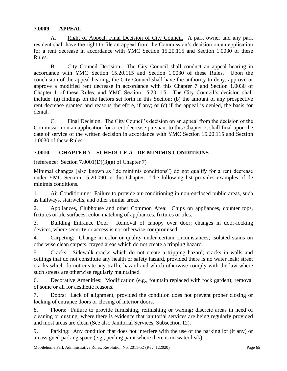#### <span id="page-69-0"></span>**7.0009. APPEAL**

A. Right of Appeal; Final Decision of City Council. A park owner and any park resident shall have the right to file an appeal from the Commission's decision on an application for a rent decrease in accordance with YMC Section 15.20.115 and Section 1.0030 of these Rules.

B. City Council Decision. The City Council shall conduct an appeal hearing in accordance with YMC Section 15.20.115 and Section 1.0030 of these Rules. Upon the conclusion of the appeal hearing, the City Council shall have the authority to deny, approve or approve a modified rent decrease in accordance with this Chapter 7 and Section 1.0030 of Chapter 1 of these Rules, and YMC Section 15.20.115. The City Council's decision shall include: (a) findings on the factors set forth in this Section; (b) the amount of any prospective rent decrease granted and reasons therefore, if any; or (c) if the appeal is denied, the basis for denial.

C. Final Decision. The City Council's decision on an appeal from the decision of the Commission on an application for a rent decrease pursuant to this Chapter 7, shall final upon the date of service of the written decision in accordance with YMC Section 15.20.115 and Section 1.0030 of these Rules.

## <span id="page-69-1"></span>**7.0010. CHAPTER 7 – SCHEDULE A - DE MINIMIS CONDITIONS**

(reference: Section  $7.0001(D)(3)(a)$  of Chapter 7)

Minimal changes (also known as "de minimis conditions") do not qualify for a rent decrease under YMC Section 15.20.090 or this Chapter. The following list provides examples of de minimis conditions.

1. Air Conditioning: Failure to provide air-conditioning in non-enclosed public areas, such as hallways, stairwells, and other similar areas.

2. Appliances, Clubhouse and other Common Area: Chips on appliances, counter tops, fixtures or tile surfaces; color-matching of appliances, fixtures or tiles.

3. Building Entrance Door: Removal of canopy over door; changes in door-locking devices, where security or access is not otherwise compromised.

4. Carpeting: Change in color or quality under certain circumstances; isolated stains on otherwise clean carpets; frayed areas which do not create a tripping hazard.

5. Cracks: Sidewalk cracks which do not create a tripping hazard; cracks in walls and ceilings that do not constitute any health or safety hazard, provided there is no water leak; street cracks which do not create any traffic hazard and which otherwise comply with the law where such streets are otherwise regularly maintained.

6. Decorative Amenities: Modification (e.g., fountain replaced with rock garden); removal of some or all for aesthetic reasons.

7. Doors: Lack of alignment, provided the condition does not prevent proper closing or locking of entrance doors or closing of interior doors.

8. Floors: Failure to provide furnishing, refinishing or waxing; discrete areas in need of cleaning or dusting, where there is evidence that janitorial services are being regularly provided and most areas are clean (See also Janitorial Services, Subsection 12).

9. Parking: Any condition that does not interfere with the use of the parking lot (if any) or an assigned parking space (e.g., peeling paint where there is no water leak).